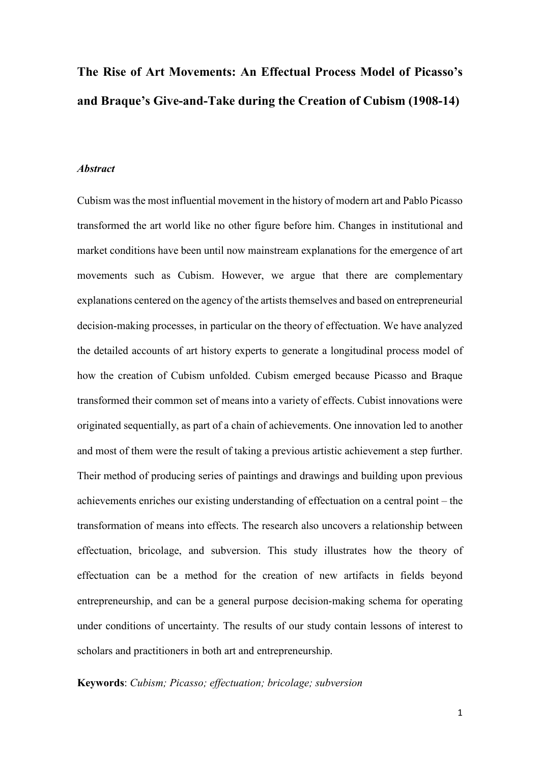# **The Rise of Art Movements: An Effectual Process Model of Picasso's and Braque's Give-and-Take during the Creation of Cubism (1908-14)**

#### *Abstract*

Cubism was the most influential movement in the history of modern art and Pablo Picasso transformed the art world like no other figure before him. Changes in institutional and market conditions have been until now mainstream explanations for the emergence of art movements such as Cubism. However, we argue that there are complementary explanations centered on the agency of the artists themselves and based on entrepreneurial decision-making processes, in particular on the theory of effectuation. We have analyzed the detailed accounts of art history experts to generate a longitudinal process model of how the creation of Cubism unfolded. Cubism emerged because Picasso and Braque transformed their common set of means into a variety of effects. Cubist innovations were originated sequentially, as part of a chain of achievements. One innovation led to another and most of them were the result of taking a previous artistic achievement a step further. Their method of producing series of paintings and drawings and building upon previous achievements enriches our existing understanding of effectuation on a central point – the transformation of means into effects. The research also uncovers a relationship between effectuation, bricolage, and subversion. This study illustrates how the theory of effectuation can be a method for the creation of new artifacts in fields beyond entrepreneurship, and can be a general purpose decision-making schema for operating under conditions of uncertainty. The results of our study contain lessons of interest to scholars and practitioners in both art and entrepreneurship.

# **Keywords**: *Cubism; Picasso; effectuation; bricolage; subversion*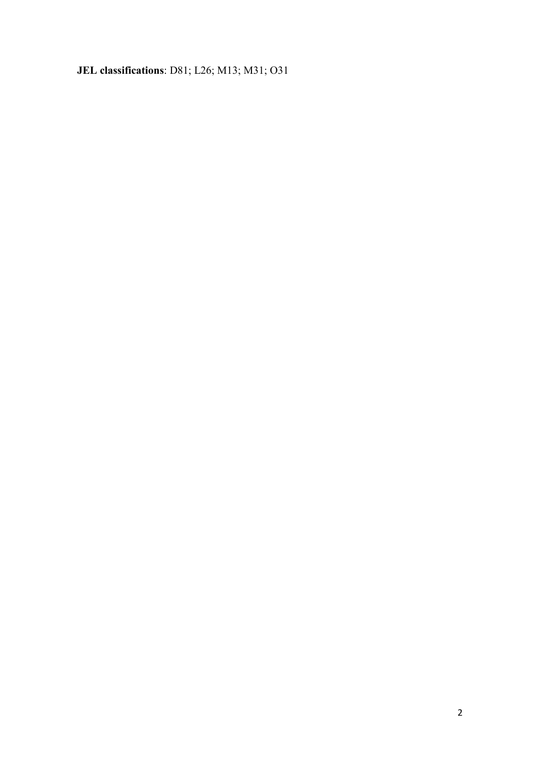**JEL classifications**: D81; L26; M13; M31; O31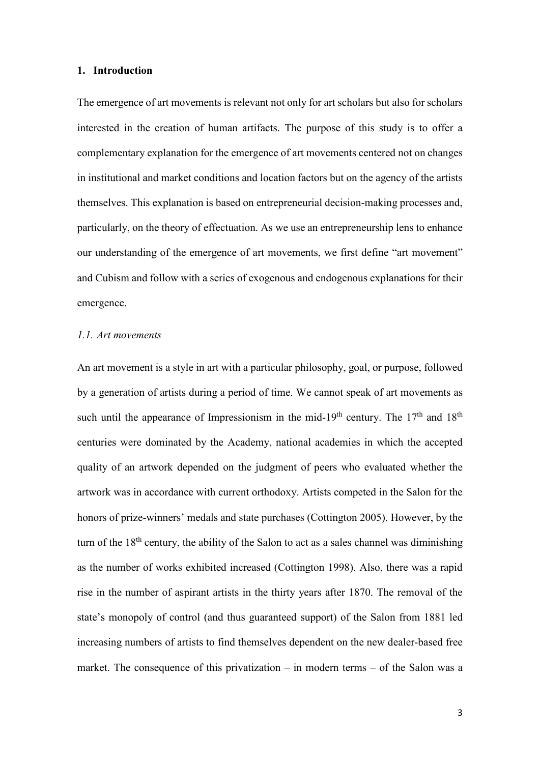#### **1. Introduction**

The emergence of art movements is relevant not only for art scholars but also for scholars interested in the creation of human artifacts. The purpose of this study is to offer a complementary explanation for the emergence of art movements centered not on changes in institutional and market conditions and location factors but on the agency of the artists themselves. This explanation is based on entrepreneurial decision-making processes and, particularly, on the theory of effectuation. As we use an entrepreneurship lens to enhance our understanding of the emergence of art movements, we first define "art movement" and Cubism and follow with a series of exogenous and endogenous explanations for their emergence.

# *1.1. Art movements*

An art movement is a style in art with a particular philosophy, goal, or purpose, followed by a generation of artists during a period of time. We cannot speak of art movements as such until the appearance of Impressionism in the mid-19<sup>th</sup> century. The  $17<sup>th</sup>$  and  $18<sup>th</sup>$ centuries were dominated by the Academy, national academies in which the accepted quality of an artwork depended on the judgment of peers who evaluated whether the artwork was in accordance with current orthodoxy. Artists competed in the Salon for the honors of prize-winners' medals and state purchases (Cottington 2005). However, by the turn of the  $18<sup>th</sup>$  century, the ability of the Salon to act as a sales channel was diminishing as the number of works exhibited increased (Cottington 1998). Also, there was a rapid rise in the number of aspirant artists in the thirty years after 1870. The removal of the state's monopoly of control (and thus guaranteed support) of the Salon from 1881 led increasing numbers of artists to find themselves dependent on the new dealer-based free market. The consequence of this privatization – in modern terms – of the Salon was a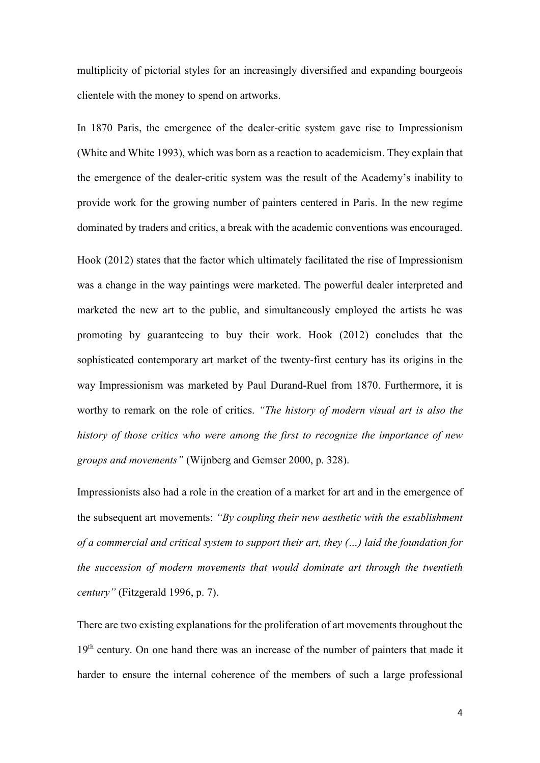multiplicity of pictorial styles for an increasingly diversified and expanding bourgeois clientele with the money to spend on artworks.

In 1870 Paris, the emergence of the dealer-critic system gave rise to Impressionism (White and White 1993), which was born as a reaction to academicism. They explain that the emergence of the dealer-critic system was the result of the Academy's inability to provide work for the growing number of painters centered in Paris. In the new regime dominated by traders and critics, a break with the academic conventions was encouraged.

Hook (2012) states that the factor which ultimately facilitated the rise of Impressionism was a change in the way paintings were marketed. The powerful dealer interpreted and marketed the new art to the public, and simultaneously employed the artists he was promoting by guaranteeing to buy their work. Hook (2012) concludes that the sophisticated contemporary art market of the twenty-first century has its origins in the way Impressionism was marketed by Paul Durand-Ruel from 1870. Furthermore, it is worthy to remark on the role of critics. *"The history of modern visual art is also the history of those critics who were among the first to recognize the importance of new groups and movements"* (Wijnberg and Gemser 2000, p. 328).

Impressionists also had a role in the creation of a market for art and in the emergence of the subsequent art movements: *"By coupling their new aesthetic with the establishment of a commercial and critical system to support their art, they (…) laid the foundation for the succession of modern movements that would dominate art through the twentieth century"* (Fitzgerald 1996, p. 7).

There are two existing explanations for the proliferation of art movements throughout the 19<sup>th</sup> century. On one hand there was an increase of the number of painters that made it harder to ensure the internal coherence of the members of such a large professional

4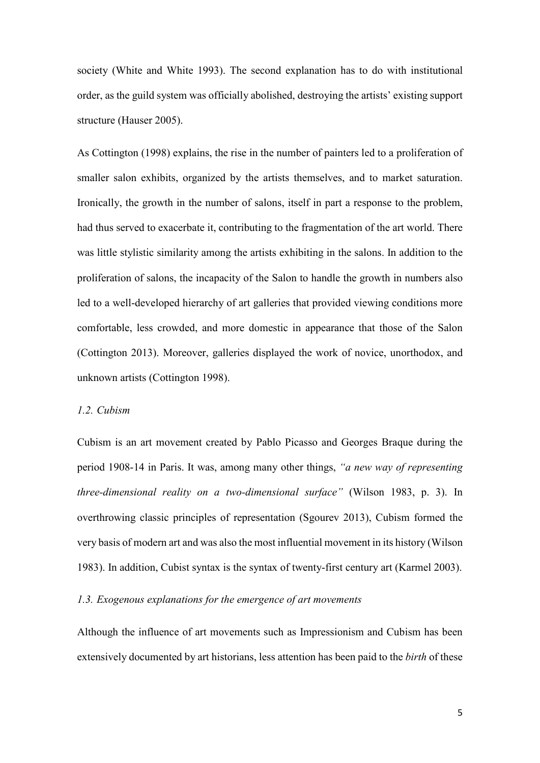society (White and White 1993). The second explanation has to do with institutional order, as the guild system was officially abolished, destroying the artists' existing support structure (Hauser 2005).

As Cottington (1998) explains, the rise in the number of painters led to a proliferation of smaller salon exhibits, organized by the artists themselves, and to market saturation. Ironically, the growth in the number of salons, itself in part a response to the problem, had thus served to exacerbate it, contributing to the fragmentation of the art world. There was little stylistic similarity among the artists exhibiting in the salons. In addition to the proliferation of salons, the incapacity of the Salon to handle the growth in numbers also led to a well-developed hierarchy of art galleries that provided viewing conditions more comfortable, less crowded, and more domestic in appearance that those of the Salon (Cottington 2013). Moreover, galleries displayed the work of novice, unorthodox, and unknown artists (Cottington 1998).

# *1.2. Cubism*

Cubism is an art movement created by Pablo Picasso and Georges Braque during the period 1908-14 in Paris. It was, among many other things, *"a new way of representing three-dimensional reality on a two-dimensional surface"* (Wilson 1983, p. 3). In overthrowing classic principles of representation (Sgourev 2013), Cubism formed the very basis of modern art and was also the most influential movement in its history (Wilson 1983). In addition, Cubist syntax is the syntax of twenty-first century art (Karmel 2003).

# *1.3. Exogenous explanations for the emergence of art movements*

Although the influence of art movements such as Impressionism and Cubism has been extensively documented by art historians, less attention has been paid to the *birth* of these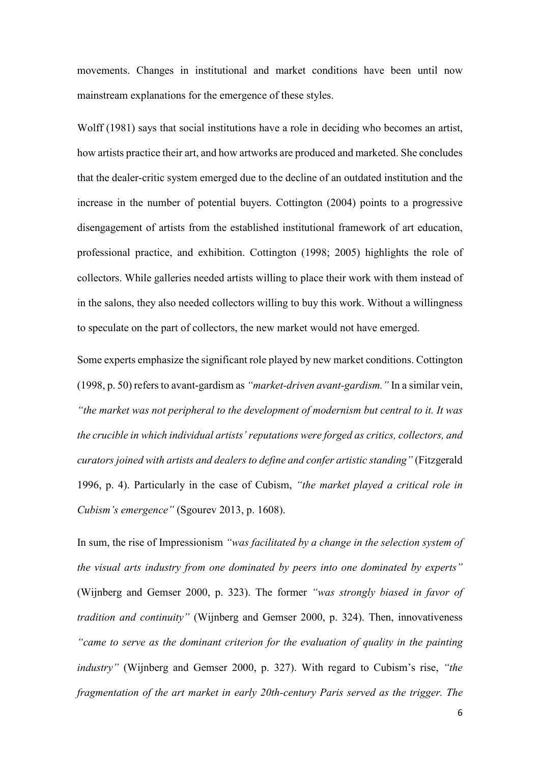movements. Changes in institutional and market conditions have been until now mainstream explanations for the emergence of these styles.

Wolff (1981) says that social institutions have a role in deciding who becomes an artist, how artists practice their art, and how artworks are produced and marketed. She concludes that the dealer-critic system emerged due to the decline of an outdated institution and the increase in the number of potential buyers. Cottington (2004) points to a progressive disengagement of artists from the established institutional framework of art education, professional practice, and exhibition. Cottington (1998; 2005) highlights the role of collectors. While galleries needed artists willing to place their work with them instead of in the salons, they also needed collectors willing to buy this work. Without a willingness to speculate on the part of collectors, the new market would not have emerged.

Some experts emphasize the significant role played by new market conditions. Cottington (1998, p. 50) refers to avant-gardism as *"market-driven avant-gardism."* In a similar vein, *"the market was not peripheral to the development of modernism but central to it. It was the crucible in which individual artists' reputations were forged as critics, collectors, and curators joined with artists and dealers to define and confer artistic standing"* (Fitzgerald 1996, p. 4). Particularly in the case of Cubism, *"the market played a critical role in Cubism's emergence"* (Sgourev 2013, p. 1608).

In sum, the rise of Impressionism *"was facilitated by a change in the selection system of the visual arts industry from one dominated by peers into one dominated by experts"* (Wijnberg and Gemser 2000, p. 323). The former *"was strongly biased in favor of tradition and continuity"* (Wijnberg and Gemser 2000, p. 324). Then, innovativeness *"came to serve as the dominant criterion for the evaluation of quality in the painting industry"* (Wijnberg and Gemser 2000, p. 327). With regard to Cubism's rise, *"the fragmentation of the art market in early 20th-century Paris served as the trigger. The*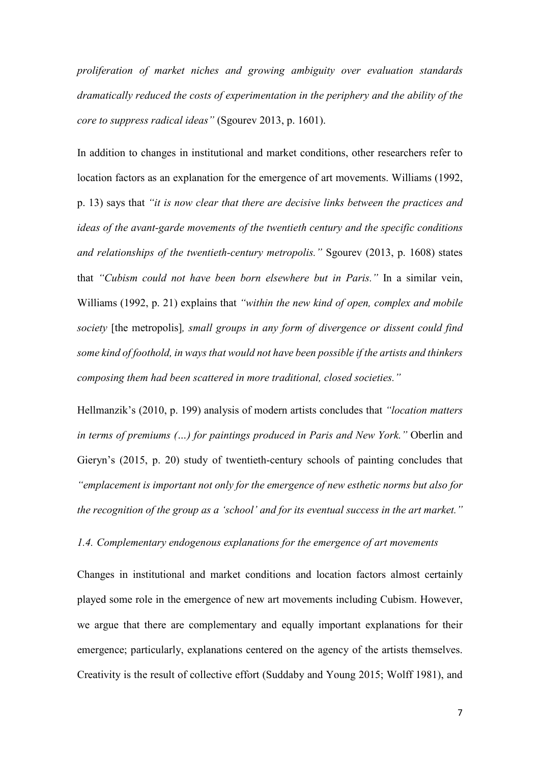*proliferation of market niches and growing ambiguity over evaluation standards dramatically reduced the costs of experimentation in the periphery and the ability of the core to suppress radical ideas"* (Sgourev 2013, p. 1601).

In addition to changes in institutional and market conditions, other researchers refer to location factors as an explanation for the emergence of art movements. Williams (1992, p. 13) says that *"it is now clear that there are decisive links between the practices and ideas of the avant-garde movements of the twentieth century and the specific conditions and relationships of the twentieth-century metropolis."* Sgourev (2013, p. 1608) states that *"Cubism could not have been born elsewhere but in Paris."* In a similar vein, Williams (1992, p. 21) explains that *"within the new kind of open, complex and mobile society* [the metropolis]*, small groups in any form of divergence or dissent could find some kind of foothold, in ways that would not have been possible if the artists and thinkers composing them had been scattered in more traditional, closed societies."*

Hellmanzik's (2010, p. 199) analysis of modern artists concludes that *"location matters in terms of premiums (…) for paintings produced in Paris and New York."* Oberlin and Gieryn's (2015, p. 20) study of twentieth-century schools of painting concludes that *"emplacement is important not only for the emergence of new esthetic norms but also for the recognition of the group as a 'school' and for its eventual success in the art market."*

*1.4. Complementary endogenous explanations for the emergence of art movements*

Changes in institutional and market conditions and location factors almost certainly played some role in the emergence of new art movements including Cubism. However, we argue that there are complementary and equally important explanations for their emergence; particularly, explanations centered on the agency of the artists themselves. Creativity is the result of collective effort (Suddaby and Young 2015; Wolff 1981), and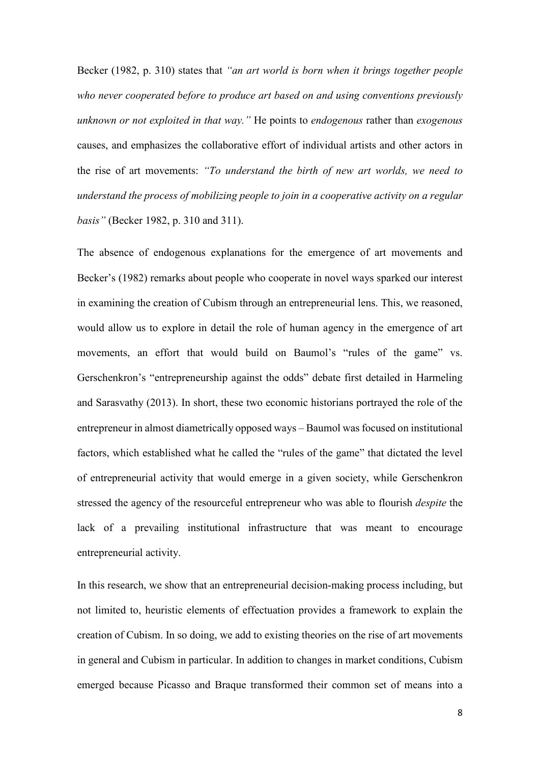Becker (1982, p. 310) states that *"an art world is born when it brings together people who never cooperated before to produce art based on and using conventions previously unknown or not exploited in that way."* He points to *endogenous* rather than *exogenous* causes, and emphasizes the collaborative effort of individual artists and other actors in the rise of art movements: *"To understand the birth of new art worlds, we need to understand the process of mobilizing people to join in a cooperative activity on a regular basis"* (Becker 1982, p. 310 and 311).

The absence of endogenous explanations for the emergence of art movements and Becker's (1982) remarks about people who cooperate in novel ways sparked our interest in examining the creation of Cubism through an entrepreneurial lens. This, we reasoned, would allow us to explore in detail the role of human agency in the emergence of art movements, an effort that would build on Baumol's "rules of the game" vs. Gerschenkron's "entrepreneurship against the odds" debate first detailed in Harmeling and Sarasvathy (2013). In short, these two economic historians portrayed the role of the entrepreneur in almost diametrically opposed ways – Baumol was focused on institutional factors, which established what he called the "rules of the game" that dictated the level of entrepreneurial activity that would emerge in a given society, while Gerschenkron stressed the agency of the resourceful entrepreneur who was able to flourish *despite* the lack of a prevailing institutional infrastructure that was meant to encourage entrepreneurial activity.

In this research, we show that an entrepreneurial decision-making process including, but not limited to, heuristic elements of effectuation provides a framework to explain the creation of Cubism. In so doing, we add to existing theories on the rise of art movements in general and Cubism in particular. In addition to changes in market conditions, Cubism emerged because Picasso and Braque transformed their common set of means into a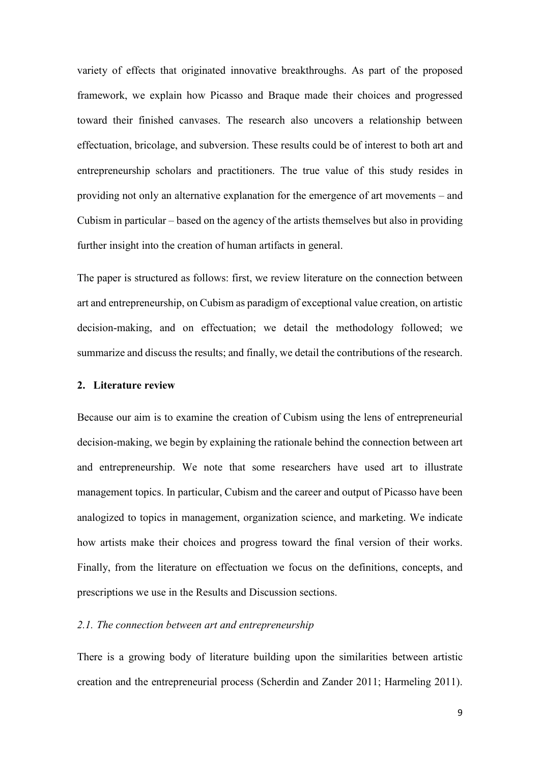variety of effects that originated innovative breakthroughs. As part of the proposed framework, we explain how Picasso and Braque made their choices and progressed toward their finished canvases. The research also uncovers a relationship between effectuation, bricolage, and subversion. These results could be of interest to both art and entrepreneurship scholars and practitioners. The true value of this study resides in providing not only an alternative explanation for the emergence of art movements – and Cubism in particular – based on the agency of the artists themselves but also in providing further insight into the creation of human artifacts in general.

The paper is structured as follows: first, we review literature on the connection between art and entrepreneurship, on Cubism as paradigm of exceptional value creation, on artistic decision-making, and on effectuation; we detail the methodology followed; we summarize and discuss the results; and finally, we detail the contributions of the research.

#### **2. Literature review**

Because our aim is to examine the creation of Cubism using the lens of entrepreneurial decision-making, we begin by explaining the rationale behind the connection between art and entrepreneurship. We note that some researchers have used art to illustrate management topics. In particular, Cubism and the career and output of Picasso have been analogized to topics in management, organization science, and marketing. We indicate how artists make their choices and progress toward the final version of their works. Finally, from the literature on effectuation we focus on the definitions, concepts, and prescriptions we use in the Results and Discussion sections.

# *2.1. The connection between art and entrepreneurship*

There is a growing body of literature building upon the similarities between artistic creation and the entrepreneurial process (Scherdin and Zander 2011; Harmeling 2011).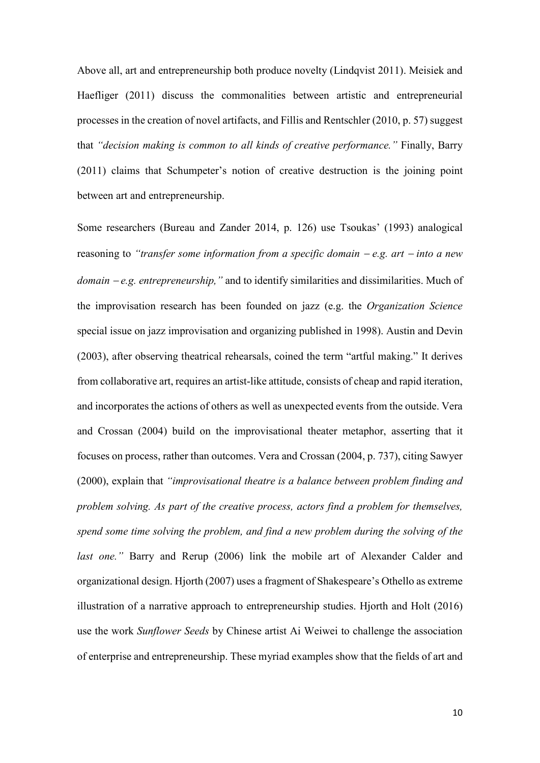Above all, art and entrepreneurship both produce novelty (Lindqvist 2011). Meisiek and Haefliger (2011) discuss the commonalities between artistic and entrepreneurial processes in the creation of novel artifacts, and Fillis and Rentschler (2010, p. 57) suggest that *"decision making is common to all kinds of creative performance."* Finally, Barry (2011) claims that Schumpeter's notion of creative destruction is the joining point between art and entrepreneurship.

Some researchers (Bureau and Zander 2014, p. 126) use Tsoukas' (1993) analogical reasoning to *"transfer some information from a specific domain* <sup>−</sup> *e.g. art* <sup>−</sup> *into a new domain* <sup>−</sup> *e.g. entrepreneurship,"* and to identify similarities and dissimilarities. Much of the improvisation research has been founded on jazz (e.g. the *Organization Science*  special issue on jazz improvisation and organizing published in 1998). Austin and Devin (2003), after observing theatrical rehearsals, coined the term "artful making." It derives from collaborative art, requires an artist-like attitude, consists of cheap and rapid iteration, and incorporates the actions of others as well as unexpected events from the outside. Vera and Crossan (2004) build on the improvisational theater metaphor, asserting that it focuses on process, rather than outcomes. Vera and Crossan (2004, p. 737), citing Sawyer (2000), explain that *"improvisational theatre is a balance between problem finding and problem solving. As part of the creative process, actors find a problem for themselves, spend some time solving the problem, and find a new problem during the solving of the last one.*" Barry and Rerup (2006) link the mobile art of Alexander Calder and organizational design. Hjorth (2007) uses a fragment of Shakespeare's Othello as extreme illustration of a narrative approach to entrepreneurship studies. Hjorth and Holt (2016) use the work *Sunflower Seeds* by Chinese artist Ai Weiwei to challenge the association of enterprise and entrepreneurship. These myriad examples show that the fields of art and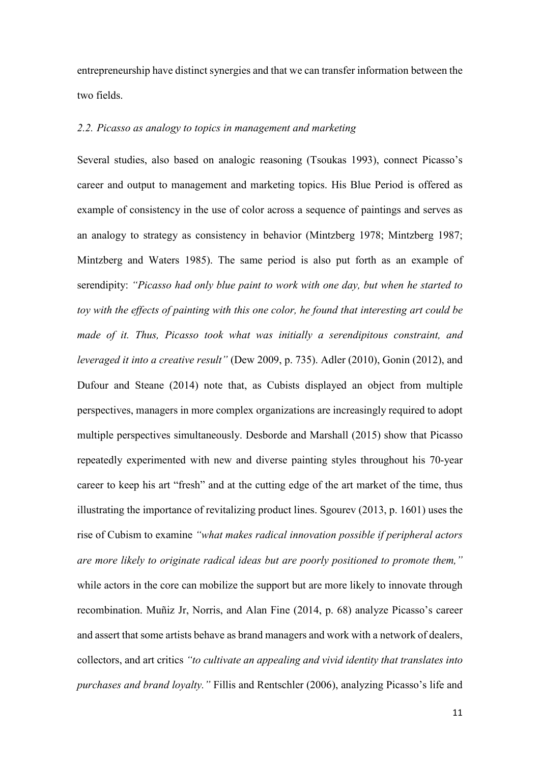entrepreneurship have distinct synergies and that we can transfer information between the two fields.

# *2.2. Picasso as analogy to topics in management and marketing*

Several studies, also based on analogic reasoning (Tsoukas 1993), connect Picasso's career and output to management and marketing topics. His Blue Period is offered as example of consistency in the use of color across a sequence of paintings and serves as an analogy to strategy as consistency in behavior (Mintzberg 1978; Mintzberg 1987; Mintzberg and Waters 1985). The same period is also put forth as an example of serendipity: *"Picasso had only blue paint to work with one day, but when he started to toy with the effects of painting with this one color, he found that interesting art could be made of it. Thus, Picasso took what was initially a serendipitous constraint, and leveraged it into a creative result"* (Dew 2009, p. 735). Adler (2010), Gonin (2012), and Dufour and Steane (2014) note that, as Cubists displayed an object from multiple perspectives, managers in more complex organizations are increasingly required to adopt multiple perspectives simultaneously. Desborde and Marshall (2015) show that Picasso repeatedly experimented with new and diverse painting styles throughout his 70-year career to keep his art "fresh" and at the cutting edge of the art market of the time, thus illustrating the importance of revitalizing product lines. Sgourev (2013, p. 1601) uses the rise of Cubism to examine *"what makes radical innovation possible if peripheral actors are more likely to originate radical ideas but are poorly positioned to promote them,"* while actors in the core can mobilize the support but are more likely to innovate through recombination. Muñiz Jr, Norris, and Alan Fine (2014, p. 68) analyze Picasso's career and assert that some artists behave as brand managers and work with a network of dealers, collectors, and art critics *"to cultivate an appealing and vivid identity that translates into purchases and brand loyalty."* Fillis and Rentschler (2006), analyzing Picasso's life and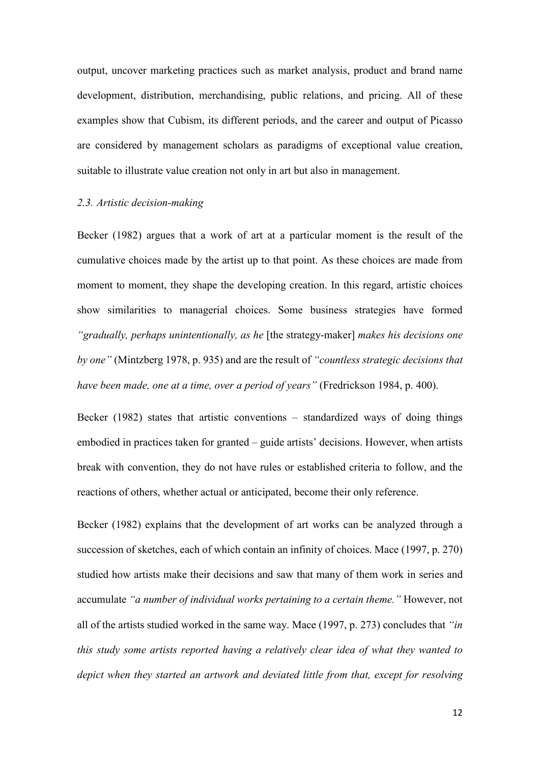output, uncover marketing practices such as market analysis, product and brand name development, distribution, merchandising, public relations, and pricing. All of these examples show that Cubism, its different periods, and the career and output of Picasso are considered by management scholars as paradigms of exceptional value creation, suitable to illustrate value creation not only in art but also in management.

# *2.3. Artistic decision-making*

Becker (1982) argues that a work of art at a particular moment is the result of the cumulative choices made by the artist up to that point. As these choices are made from moment to moment, they shape the developing creation. In this regard, artistic choices show similarities to managerial choices. Some business strategies have formed *"gradually, perhaps unintentionally, as he* [the strategy-maker] *makes his decisions one by one"* (Mintzberg 1978, p. 935) and are the result of *"countless strategic decisions that have been made, one at a time, over a period of years"* (Fredrickson 1984, p. 400).

Becker (1982) states that artistic conventions – standardized ways of doing things embodied in practices taken for granted – guide artists' decisions. However, when artists break with convention, they do not have rules or established criteria to follow, and the reactions of others, whether actual or anticipated, become their only reference.

Becker (1982) explains that the development of art works can be analyzed through a succession of sketches, each of which contain an infinity of choices. Mace (1997, p. 270) studied how artists make their decisions and saw that many of them work in series and accumulate *"a number of individual works pertaining to a certain theme."* However, not all of the artists studied worked in the same way. Mace (1997, p. 273) concludes that *"in this study some artists reported having a relatively clear idea of what they wanted to depict when they started an artwork and deviated little from that, except for resolving*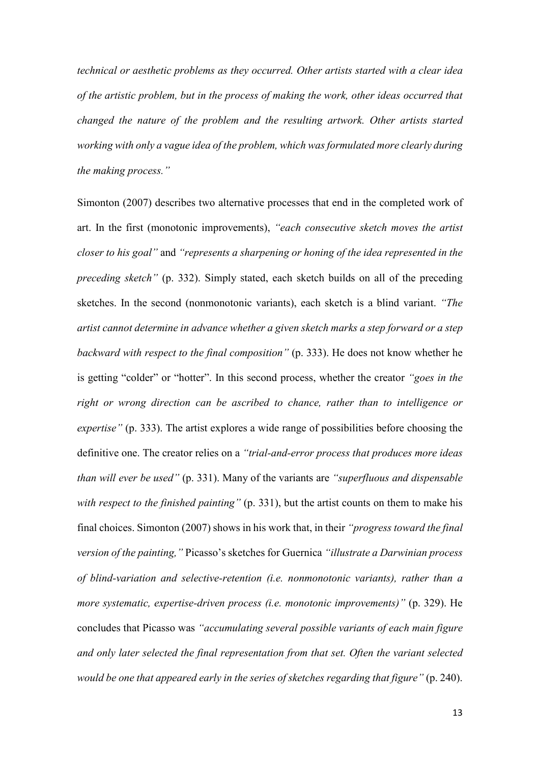*technical or aesthetic problems as they occurred. Other artists started with a clear idea of the artistic problem, but in the process of making the work, other ideas occurred that changed the nature of the problem and the resulting artwork. Other artists started working with only a vague idea of the problem, which was formulated more clearly during the making process."*

Simonton (2007) describes two alternative processes that end in the completed work of art. In the first (monotonic improvements), *"each consecutive sketch moves the artist closer to his goal"* and *"represents a sharpening or honing of the idea represented in the preceding sketch"* (p. 332). Simply stated, each sketch builds on all of the preceding sketches. In the second (nonmonotonic variants), each sketch is a blind variant. *"The artist cannot determine in advance whether a given sketch marks a step forward or a step backward with respect to the final composition"* (p. 333). He does not know whether he is getting "colder" or "hotter". In this second process, whether the creator *"goes in the right or wrong direction can be ascribed to chance, rather than to intelligence or expertise"* (p. 333). The artist explores a wide range of possibilities before choosing the definitive one. The creator relies on a *"trial-and-error process that produces more ideas than will ever be used"* (p. 331). Many of the variants are *"superfluous and dispensable with respect to the finished painting"* (p. 331), but the artist counts on them to make his final choices. Simonton (2007) shows in his work that, in their *"progress toward the final version of the painting,"* Picasso's sketches for Guernica *"illustrate a Darwinian process of blind-variation and selective-retention (i.e. nonmonotonic variants), rather than a more systematic, expertise-driven process (i.e. monotonic improvements)"* (p. 329). He concludes that Picasso was *"accumulating several possible variants of each main figure and only later selected the final representation from that set. Often the variant selected would be one that appeared early in the series of sketches regarding that figure"* (p. 240).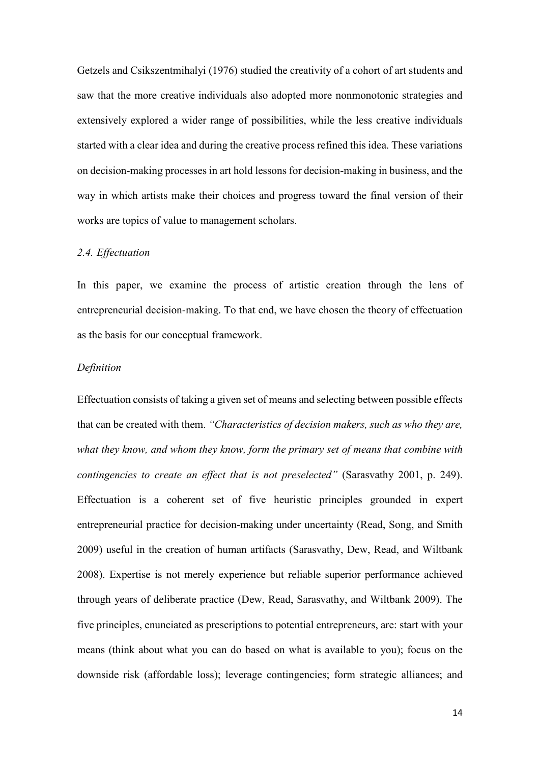Getzels and Csikszentmihalyi (1976) studied the creativity of a cohort of art students and saw that the more creative individuals also adopted more nonmonotonic strategies and extensively explored a wider range of possibilities, while the less creative individuals started with a clear idea and during the creative process refined this idea. These variations on decision-making processes in art hold lessons for decision-making in business, and the way in which artists make their choices and progress toward the final version of their works are topics of value to management scholars.

# *2.4. Effectuation*

In this paper, we examine the process of artistic creation through the lens of entrepreneurial decision-making. To that end, we have chosen the theory of effectuation as the basis for our conceptual framework.

# *Definition*

Effectuation consists of taking a given set of means and selecting between possible effects that can be created with them. *"Characteristics of decision makers, such as who they are, what they know, and whom they know, form the primary set of means that combine with contingencies to create an effect that is not preselected"* (Sarasvathy 2001, p. 249). Effectuation is a coherent set of five heuristic principles grounded in expert entrepreneurial practice for decision-making under uncertainty (Read, Song, and Smith 2009) useful in the creation of human artifacts (Sarasvathy, Dew, Read, and Wiltbank 2008). Expertise is not merely experience but reliable superior performance achieved through years of deliberate practice (Dew, Read, Sarasvathy, and Wiltbank 2009). The five principles, enunciated as prescriptions to potential entrepreneurs, are: start with your means (think about what you can do based on what is available to you); focus on the downside risk (affordable loss); leverage contingencies; form strategic alliances; and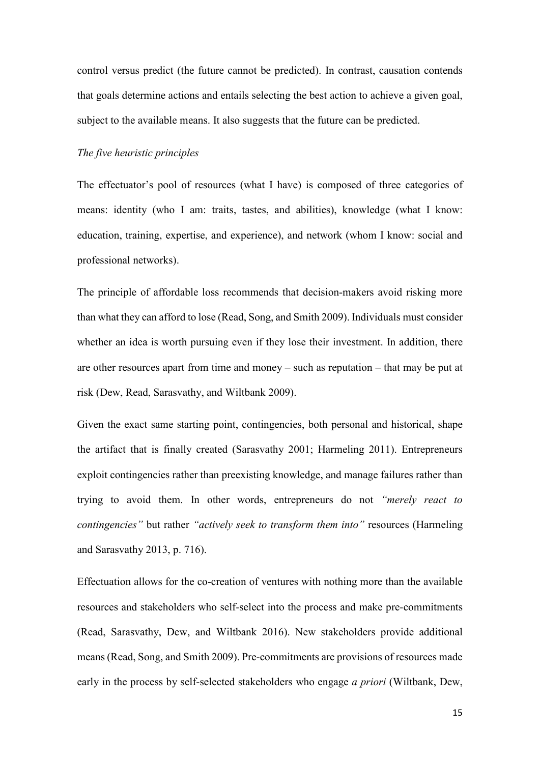control versus predict (the future cannot be predicted). In contrast, causation contends that goals determine actions and entails selecting the best action to achieve a given goal, subject to the available means. It also suggests that the future can be predicted.

# *The five heuristic principles*

The effectuator's pool of resources (what I have) is composed of three categories of means: identity (who I am: traits, tastes, and abilities), knowledge (what I know: education, training, expertise, and experience), and network (whom I know: social and professional networks).

The principle of affordable loss recommends that decision-makers avoid risking more than what they can afford to lose (Read, Song, and Smith 2009). Individuals must consider whether an idea is worth pursuing even if they lose their investment. In addition, there are other resources apart from time and money – such as reputation – that may be put at risk (Dew, Read, Sarasvathy, and Wiltbank 2009).

Given the exact same starting point, contingencies, both personal and historical, shape the artifact that is finally created (Sarasvathy 2001; Harmeling 2011). Entrepreneurs exploit contingencies rather than preexisting knowledge, and manage failures rather than trying to avoid them. In other words, entrepreneurs do not *"merely react to contingencies"* but rather *"actively seek to transform them into"* resources (Harmeling and Sarasvathy 2013, p. 716).

Effectuation allows for the co-creation of ventures with nothing more than the available resources and stakeholders who self-select into the process and make pre-commitments (Read, Sarasvathy, Dew, and Wiltbank 2016). New stakeholders provide additional means (Read, Song, and Smith 2009). Pre-commitments are provisions of resources made early in the process by self-selected stakeholders who engage *a priori* (Wiltbank, Dew,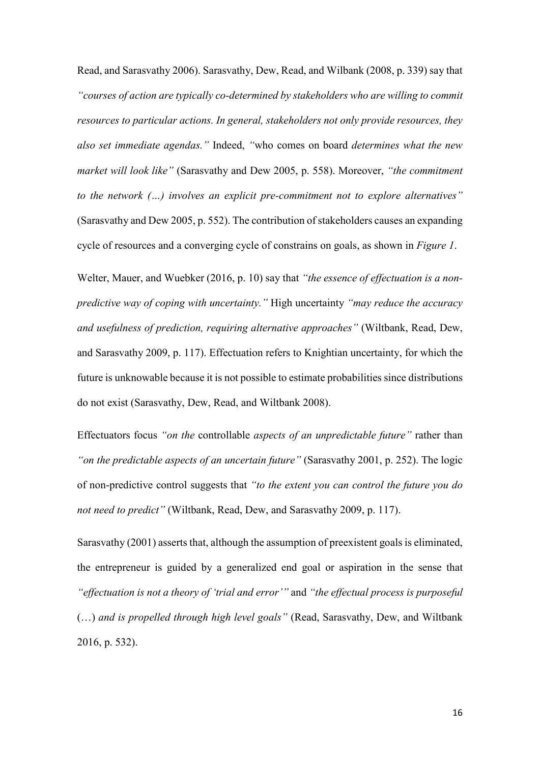Read, and Sarasvathy 2006). Sarasvathy, Dew, Read, and Wilbank (2008, p. 339) say that *"courses of action are typically co-determined by stakeholders who are willing to commit resources to particular actions. In general, stakeholders not only provide resources, they also set immediate agendas."* Indeed, *"*who comes on board *determines what the new market will look like"* (Sarasvathy and Dew 2005, p. 558). Moreover, *"the commitment to the network (…) involves an explicit pre-commitment not to explore alternatives"* (Sarasvathy and Dew 2005, p. 552). The contribution of stakeholders causes an expanding cycle of resources and a converging cycle of constrains on goals, as shown in *Figure 1*.

Welter, Mauer, and Wuebker (2016, p. 10) say that *"the essence of effectuation is a nonpredictive way of coping with uncertainty."* High uncertainty *"may reduce the accuracy and usefulness of prediction, requiring alternative approaches"* (Wiltbank, Read, Dew, and Sarasvathy 2009, p. 117). Effectuation refers to Knightian uncertainty, for which the future is unknowable because it is not possible to estimate probabilities since distributions do not exist (Sarasvathy, Dew, Read, and Wiltbank 2008).

Effectuators focus *"on the* controllable *aspects of an unpredictable future"* rather than *"on the predictable aspects of an uncertain future"* (Sarasvathy 2001, p. 252). The logic of non-predictive control suggests that *"to the extent you can control the future you do not need to predict"* (Wiltbank, Read, Dew, and Sarasvathy 2009, p. 117).

Sarasvathy (2001) asserts that, although the assumption of preexistent goals is eliminated, the entrepreneur is guided by a generalized end goal or aspiration in the sense that *"effectuation is not a theory of 'trial and error'"* and *"the effectual process is purposeful* (…) *and is propelled through high level goals"* (Read, Sarasvathy, Dew, and Wiltbank 2016, p. 532).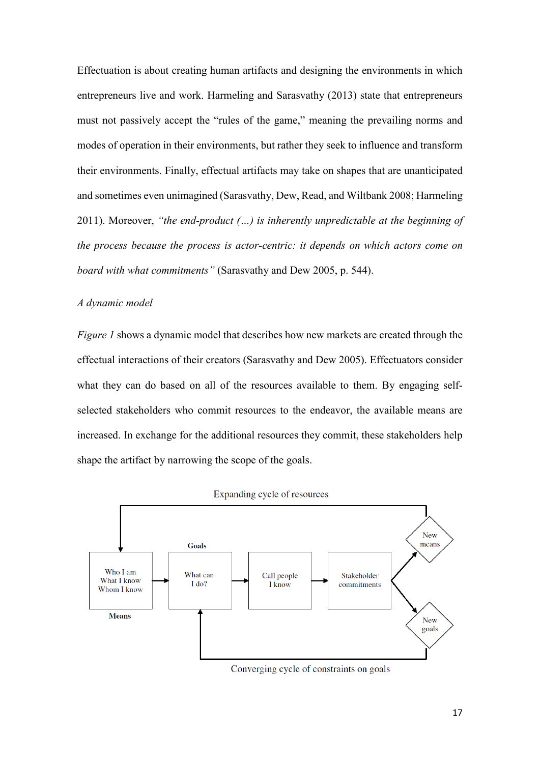Effectuation is about creating human artifacts and designing the environments in which entrepreneurs live and work. Harmeling and Sarasvathy (2013) state that entrepreneurs must not passively accept the "rules of the game," meaning the prevailing norms and modes of operation in their environments, but rather they seek to influence and transform their environments. Finally, effectual artifacts may take on shapes that are unanticipated and sometimes even unimagined (Sarasvathy, Dew, Read, and Wiltbank 2008; Harmeling 2011). Moreover, *"the end-product (…) is inherently unpredictable at the beginning of the process because the process is actor-centric: it depends on which actors come on board with what commitments"* (Sarasvathy and Dew 2005, p. 544).

# *A dynamic model*

*Figure 1* shows a dynamic model that describes how new markets are created through the effectual interactions of their creators (Sarasvathy and Dew 2005). Effectuators consider what they can do based on all of the resources available to them. By engaging selfselected stakeholders who commit resources to the endeavor, the available means are increased. In exchange for the additional resources they commit, these stakeholders help shape the artifact by narrowing the scope of the goals.



#### Expanding cycle of resources

Converging cycle of constraints on goals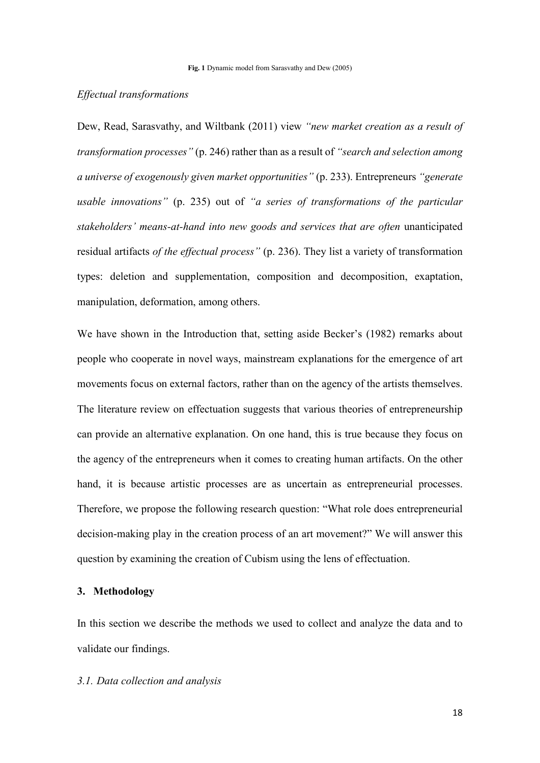# *Effectual transformations*

Dew, Read, Sarasvathy, and Wiltbank (2011) view *"new market creation as a result of transformation processes"* (p. 246) rather than as a result of *"search and selection among a universe of exogenously given market opportunities"* (p. 233). Entrepreneurs *"generate usable innovations"* (p. 235) out of *"a series of transformations of the particular stakeholders' means-at-hand into new goods and services that are often* unanticipated residual artifacts *of the effectual process"* (p. 236). They list a variety of transformation types: deletion and supplementation, composition and decomposition, exaptation, manipulation, deformation, among others.

We have shown in the Introduction that, setting aside Becker's (1982) remarks about people who cooperate in novel ways, mainstream explanations for the emergence of art movements focus on external factors, rather than on the agency of the artists themselves. The literature review on effectuation suggests that various theories of entrepreneurship can provide an alternative explanation. On one hand, this is true because they focus on the agency of the entrepreneurs when it comes to creating human artifacts. On the other hand, it is because artistic processes are as uncertain as entrepreneurial processes. Therefore, we propose the following research question: "What role does entrepreneurial decision-making play in the creation process of an art movement?" We will answer this question by examining the creation of Cubism using the lens of effectuation.

# **3. Methodology**

In this section we describe the methods we used to collect and analyze the data and to validate our findings.

#### *3.1. Data collection and analysis*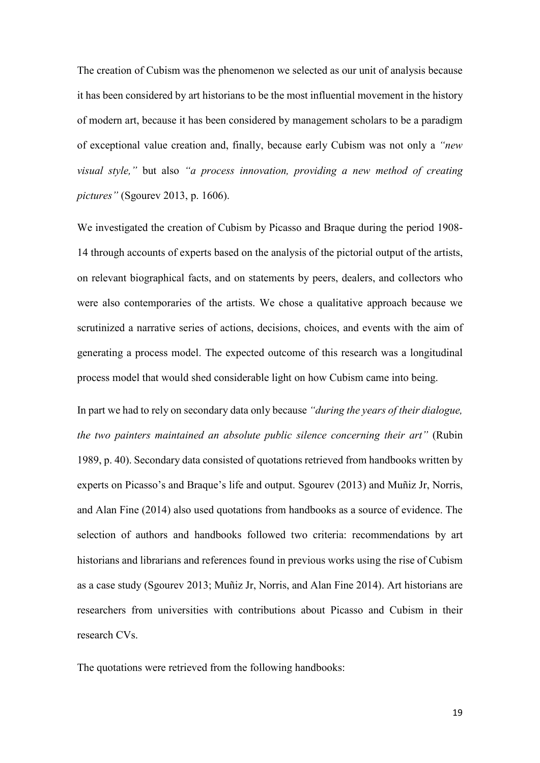The creation of Cubism was the phenomenon we selected as our unit of analysis because it has been considered by art historians to be the most influential movement in the history of modern art, because it has been considered by management scholars to be a paradigm of exceptional value creation and, finally, because early Cubism was not only a *"new visual style,"* but also *"a process innovation, providing a new method of creating pictures"* (Sgourev 2013, p. 1606).

We investigated the creation of Cubism by Picasso and Braque during the period 1908- 14 through accounts of experts based on the analysis of the pictorial output of the artists, on relevant biographical facts, and on statements by peers, dealers, and collectors who were also contemporaries of the artists. We chose a qualitative approach because we scrutinized a narrative series of actions, decisions, choices, and events with the aim of generating a process model. The expected outcome of this research was a longitudinal process model that would shed considerable light on how Cubism came into being.

In part we had to rely on secondary data only because *"during the years of their dialogue, the two painters maintained an absolute public silence concerning their art"* (Rubin 1989, p. 40). Secondary data consisted of quotations retrieved from handbooks written by experts on Picasso's and Braque's life and output. Sgourev (2013) and Muñiz Jr, Norris, and Alan Fine (2014) also used quotations from handbooks as a source of evidence. The selection of authors and handbooks followed two criteria: recommendations by art historians and librarians and references found in previous works using the rise of Cubism as a case study (Sgourev 2013; Muñiz Jr, Norris, and Alan Fine 2014). Art historians are researchers from universities with contributions about Picasso and Cubism in their research CVs.

The quotations were retrieved from the following handbooks: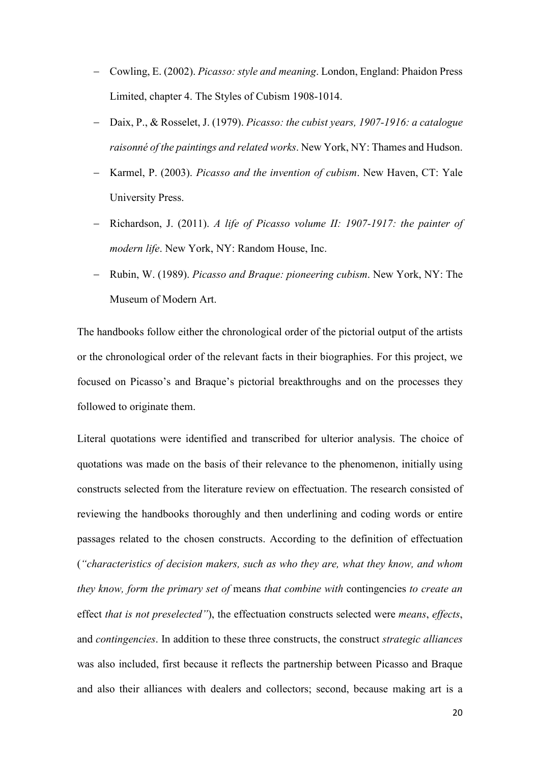- − Cowling, E. (2002). *Picasso: style and meaning*. London, England: Phaidon Press Limited, chapter 4. The Styles of Cubism 1908-1014.
- − Daix, P., & Rosselet, J. (1979). *Picasso: the cubist years, 1907-1916: a catalogue raisonné of the paintings and related works*. New York, NY: Thames and Hudson.
- − Karmel, P. (2003). *Picasso and the invention of cubism*. New Haven, CT: Yale University Press.
- − Richardson, J. (2011). *A life of Picasso volume II: 1907-1917: the painter of modern life*. New York, NY: Random House, Inc.
- − Rubin, W. (1989). *Picasso and Braque: pioneering cubism*. New York, NY: The Museum of Modern Art.

The handbooks follow either the chronological order of the pictorial output of the artists or the chronological order of the relevant facts in their biographies. For this project, we focused on Picasso's and Braque's pictorial breakthroughs and on the processes they followed to originate them.

Literal quotations were identified and transcribed for ulterior analysis. The choice of quotations was made on the basis of their relevance to the phenomenon, initially using constructs selected from the literature review on effectuation. The research consisted of reviewing the handbooks thoroughly and then underlining and coding words or entire passages related to the chosen constructs. According to the definition of effectuation (*"characteristics of decision makers, such as who they are, what they know, and whom they know, form the primary set of* means *that combine with* contingencies *to create an*  effect *that is not preselected"*), the effectuation constructs selected were *means*, *effects*, and *contingencies*. In addition to these three constructs, the construct *strategic alliances* was also included, first because it reflects the partnership between Picasso and Braque and also their alliances with dealers and collectors; second, because making art is a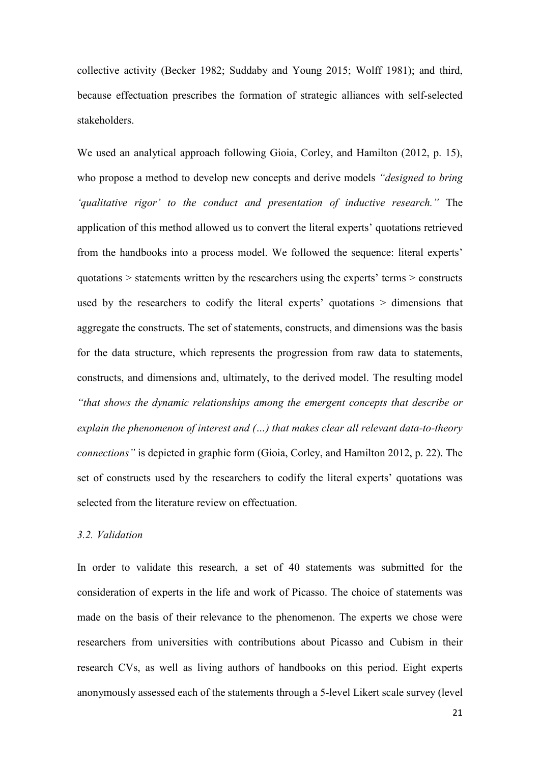collective activity (Becker 1982; Suddaby and Young 2015; Wolff 1981); and third, because effectuation prescribes the formation of strategic alliances with self-selected stakeholders.

We used an analytical approach following Gioia, Corley, and Hamilton (2012, p. 15), who propose a method to develop new concepts and derive models *"designed to bring 'qualitative rigor' to the conduct and presentation of inductive research."* The application of this method allowed us to convert the literal experts' quotations retrieved from the handbooks into a process model. We followed the sequence: literal experts' quotations > statements written by the researchers using the experts' terms > constructs used by the researchers to codify the literal experts' quotations > dimensions that aggregate the constructs. The set of statements, constructs, and dimensions was the basis for the data structure, which represents the progression from raw data to statements, constructs, and dimensions and, ultimately, to the derived model. The resulting model *"that shows the dynamic relationships among the emergent concepts that describe or explain the phenomenon of interest and (…) that makes clear all relevant data-to-theory connections"* is depicted in graphic form (Gioia, Corley, and Hamilton 2012, p. 22). The set of constructs used by the researchers to codify the literal experts' quotations was selected from the literature review on effectuation.

# *3.2. Validation*

In order to validate this research, a set of 40 statements was submitted for the consideration of experts in the life and work of Picasso. The choice of statements was made on the basis of their relevance to the phenomenon. The experts we chose were researchers from universities with contributions about Picasso and Cubism in their research CVs, as well as living authors of handbooks on this period. Eight experts anonymously assessed each of the statements through a 5-level Likert scale survey (level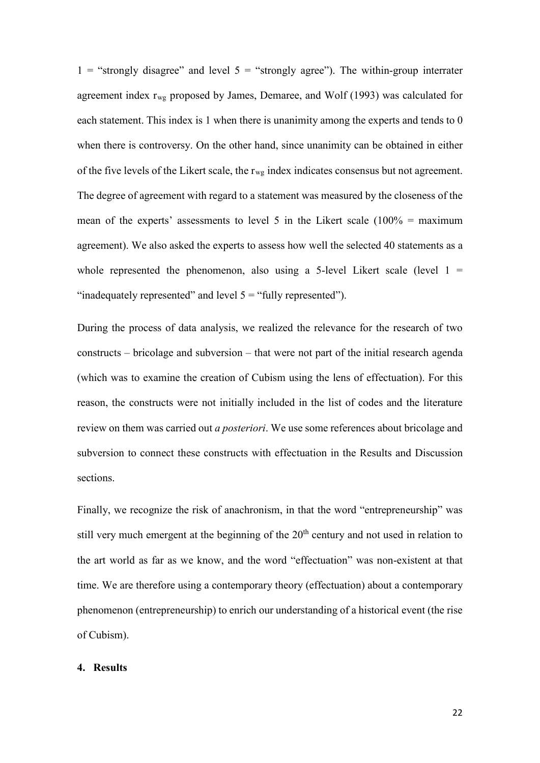1 = "strongly disagree" and level  $5$  = "strongly agree"). The within-group interrater agreement index  $r_{wg}$  proposed by James, Demaree, and Wolf (1993) was calculated for each statement. This index is 1 when there is unanimity among the experts and tends to 0 when there is controversy. On the other hand, since unanimity can be obtained in either of the five levels of the Likert scale, the  $r_{wg}$  index indicates consensus but not agreement. The degree of agreement with regard to a statement was measured by the closeness of the mean of the experts' assessments to level 5 in the Likert scale  $(100\% = \text{maximum}$ agreement). We also asked the experts to assess how well the selected 40 statements as a whole represented the phenomenon, also using a 5-level Likert scale (level  $1 =$ "inadequately represented" and level  $5 =$  "fully represented").

During the process of data analysis, we realized the relevance for the research of two constructs – bricolage and subversion – that were not part of the initial research agenda (which was to examine the creation of Cubism using the lens of effectuation). For this reason, the constructs were not initially included in the list of codes and the literature review on them was carried out *a posteriori*. We use some references about bricolage and subversion to connect these constructs with effectuation in the Results and Discussion sections.

Finally, we recognize the risk of anachronism, in that the word "entrepreneurship" was still very much emergent at the beginning of the  $20<sup>th</sup>$  century and not used in relation to the art world as far as we know, and the word "effectuation" was non-existent at that time. We are therefore using a contemporary theory (effectuation) about a contemporary phenomenon (entrepreneurship) to enrich our understanding of a historical event (the rise of Cubism).

#### **4. Results**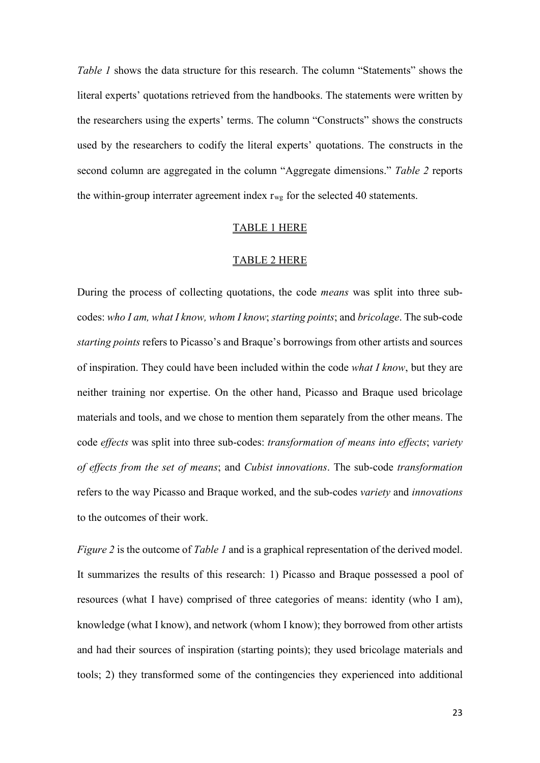*Table 1* shows the data structure for this research. The column "Statements" shows the literal experts' quotations retrieved from the handbooks. The statements were written by the researchers using the experts' terms. The column "Constructs" shows the constructs used by the researchers to codify the literal experts' quotations. The constructs in the second column are aggregated in the column "Aggregate dimensions." *Table 2* reports the within-group interrater agreement index  $r_{wg}$  for the selected 40 statements.

#### TABLE 1 HERE

## TABLE 2 HERE

During the process of collecting quotations, the code *means* was split into three subcodes: *who I am, what I know, whom I know*; *starting points*; and *bricolage*. The sub-code *starting points* refers to Picasso's and Braque's borrowings from other artists and sources of inspiration. They could have been included within the code *what I know*, but they are neither training nor expertise. On the other hand, Picasso and Braque used bricolage materials and tools, and we chose to mention them separately from the other means. The code *effects* was split into three sub-codes: *transformation of means into effects*; *variety of effects from the set of means*; and *Cubist innovations*. The sub-code *transformation* refers to the way Picasso and Braque worked, and the sub-codes *variety* and *innovations* to the outcomes of their work.

*Figure 2* is the outcome of *Table 1* and is a graphical representation of the derived model. It summarizes the results of this research: 1) Picasso and Braque possessed a pool of resources (what I have) comprised of three categories of means: identity (who I am), knowledge (what I know), and network (whom I know); they borrowed from other artists and had their sources of inspiration (starting points); they used bricolage materials and tools; 2) they transformed some of the contingencies they experienced into additional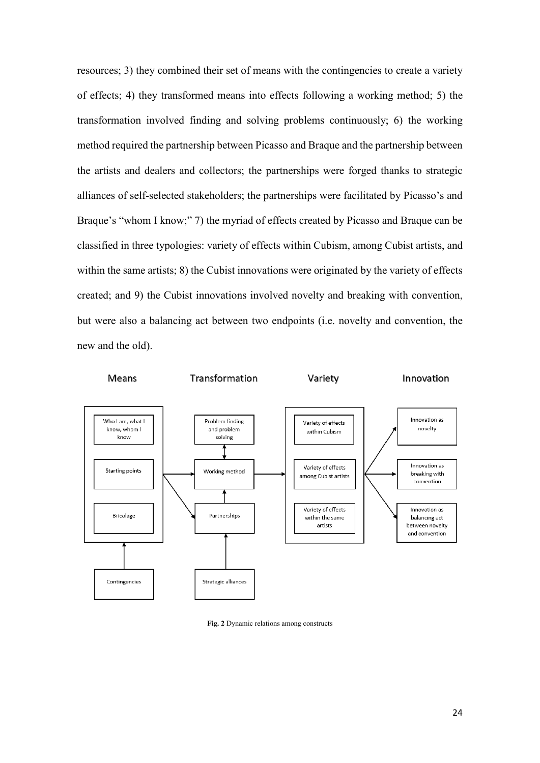resources; 3) they combined their set of means with the contingencies to create a variety of effects; 4) they transformed means into effects following a working method; 5) the transformation involved finding and solving problems continuously; 6) the working method required the partnership between Picasso and Braque and the partnership between the artists and dealers and collectors; the partnerships were forged thanks to strategic alliances of self-selected stakeholders; the partnerships were facilitated by Picasso's and Braque's "whom I know;" 7) the myriad of effects created by Picasso and Braque can be classified in three typologies: variety of effects within Cubism, among Cubist artists, and within the same artists; 8) the Cubist innovations were originated by the variety of effects created; and 9) the Cubist innovations involved novelty and breaking with convention, but were also a balancing act between two endpoints (i.e. novelty and convention, the new and the old).



**Fig. 2** Dynamic relations among constructs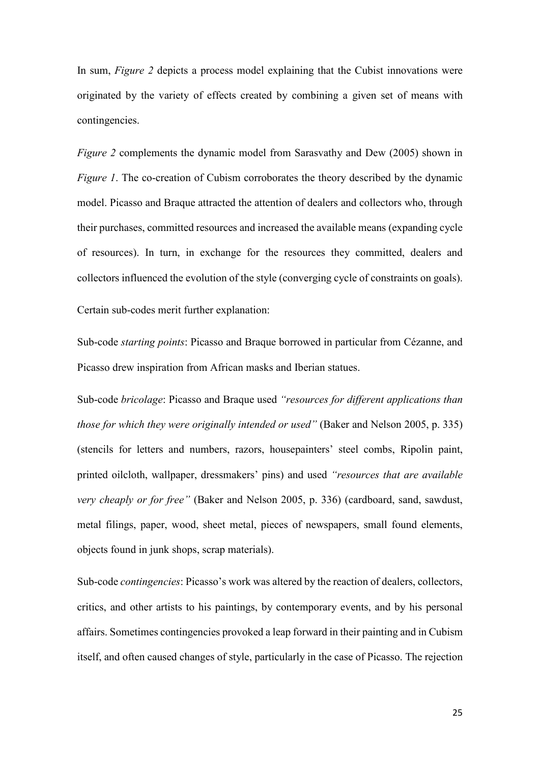In sum, *Figure 2* depicts a process model explaining that the Cubist innovations were originated by the variety of effects created by combining a given set of means with contingencies.

*Figure 2* complements the dynamic model from Sarasvathy and Dew (2005) shown in *Figure 1*. The co-creation of Cubism corroborates the theory described by the dynamic model. Picasso and Braque attracted the attention of dealers and collectors who, through their purchases, committed resources and increased the available means (expanding cycle of resources). In turn, in exchange for the resources they committed, dealers and collectors influenced the evolution of the style (converging cycle of constraints on goals).

Certain sub-codes merit further explanation:

Sub-code *starting points*: Picasso and Braque borrowed in particular from Cézanne, and Picasso drew inspiration from African masks and Iberian statues.

Sub-code *bricolage*: Picasso and Braque used *"resources for different applications than those for which they were originally intended or used"* (Baker and Nelson 2005, p. 335) (stencils for letters and numbers, razors, housepainters' steel combs, Ripolin paint, printed oilcloth, wallpaper, dressmakers' pins) and used *"resources that are available very cheaply or for free"* (Baker and Nelson 2005, p. 336) (cardboard, sand, sawdust, metal filings, paper, wood, sheet metal, pieces of newspapers, small found elements, objects found in junk shops, scrap materials).

Sub-code *contingencies*: Picasso's work was altered by the reaction of dealers, collectors, critics, and other artists to his paintings, by contemporary events, and by his personal affairs. Sometimes contingencies provoked a leap forward in their painting and in Cubism itself, and often caused changes of style, particularly in the case of Picasso. The rejection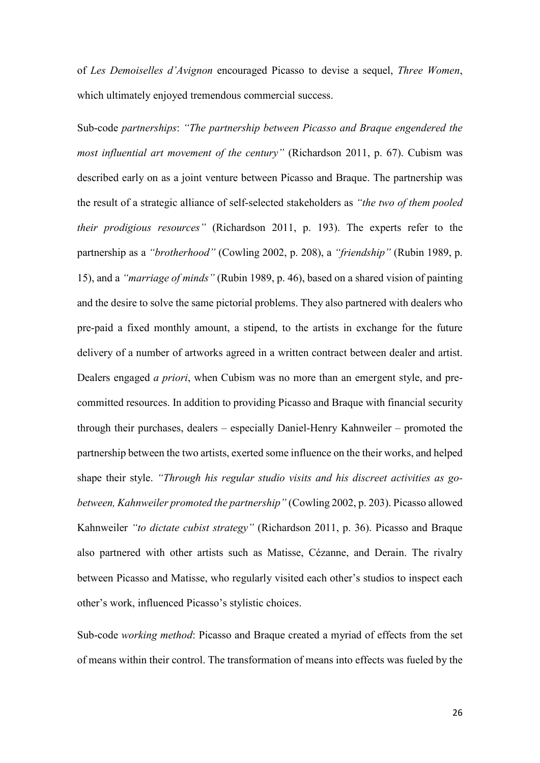of *Les Demoiselles d'Avignon* encouraged Picasso to devise a sequel, *Three Women*, which ultimately enjoyed tremendous commercial success.

Sub-code *partnerships*: *"The partnership between Picasso and Braque engendered the most influential art movement of the century"* (Richardson 2011, p. 67). Cubism was described early on as a joint venture between Picasso and Braque. The partnership was the result of a strategic alliance of self-selected stakeholders as *"the two of them pooled their prodigious resources"* (Richardson 2011, p. 193). The experts refer to the partnership as a *"brotherhood"* (Cowling 2002, p. 208), a *"friendship"* (Rubin 1989, p. 15), and a *"marriage of minds"* (Rubin 1989, p. 46), based on a shared vision of painting and the desire to solve the same pictorial problems. They also partnered with dealers who pre-paid a fixed monthly amount, a stipend, to the artists in exchange for the future delivery of a number of artworks agreed in a written contract between dealer and artist. Dealers engaged *a priori*, when Cubism was no more than an emergent style, and precommitted resources. In addition to providing Picasso and Braque with financial security through their purchases, dealers – especially Daniel-Henry Kahnweiler – promoted the partnership between the two artists, exerted some influence on the their works, and helped shape their style. *"Through his regular studio visits and his discreet activities as gobetween, Kahnweiler promoted the partnership"* (Cowling 2002, p. 203). Picasso allowed Kahnweiler *"to dictate cubist strategy"* (Richardson 2011, p. 36). Picasso and Braque also partnered with other artists such as Matisse, Cézanne, and Derain. The rivalry between Picasso and Matisse, who regularly visited each other's studios to inspect each other's work, influenced Picasso's stylistic choices.

Sub-code *working method*: Picasso and Braque created a myriad of effects from the set of means within their control. The transformation of means into effects was fueled by the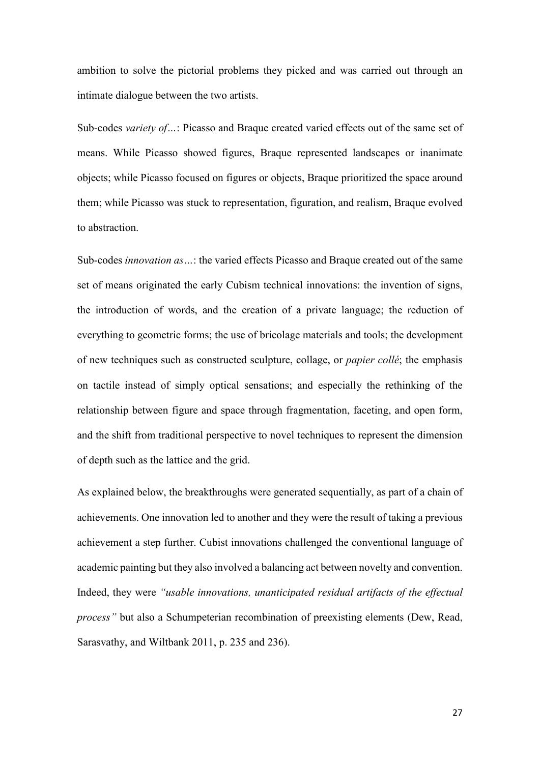ambition to solve the pictorial problems they picked and was carried out through an intimate dialogue between the two artists.

Sub-codes *variety of…*: Picasso and Braque created varied effects out of the same set of means. While Picasso showed figures, Braque represented landscapes or inanimate objects; while Picasso focused on figures or objects, Braque prioritized the space around them; while Picasso was stuck to representation, figuration, and realism, Braque evolved to abstraction.

Sub-codes *innovation as…*: the varied effects Picasso and Braque created out of the same set of means originated the early Cubism technical innovations: the invention of signs, the introduction of words, and the creation of a private language; the reduction of everything to geometric forms; the use of bricolage materials and tools; the development of new techniques such as constructed sculpture, collage, or *papier collé*; the emphasis on tactile instead of simply optical sensations; and especially the rethinking of the relationship between figure and space through fragmentation, faceting, and open form, and the shift from traditional perspective to novel techniques to represent the dimension of depth such as the lattice and the grid.

As explained below, the breakthroughs were generated sequentially, as part of a chain of achievements. One innovation led to another and they were the result of taking a previous achievement a step further. Cubist innovations challenged the conventional language of academic painting but they also involved a balancing act between novelty and convention. Indeed, they were *"usable innovations, unanticipated residual artifacts of the effectual process"* but also a Schumpeterian recombination of preexisting elements (Dew, Read, Sarasvathy, and Wiltbank 2011, p. 235 and 236).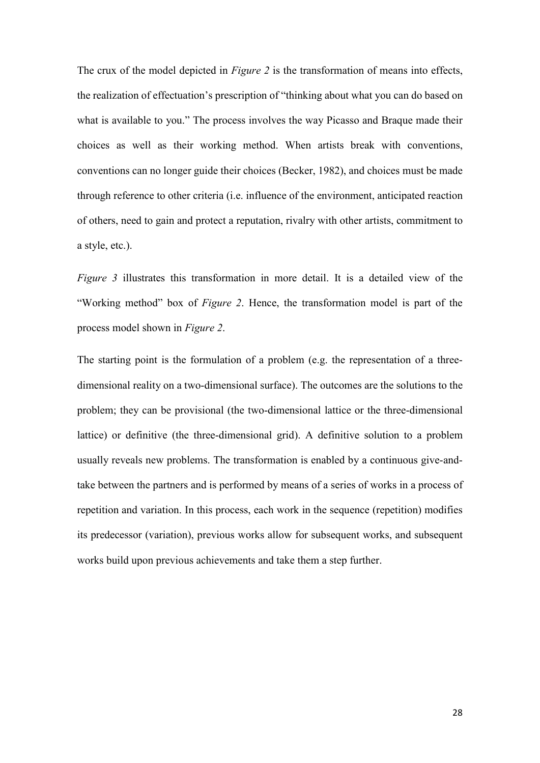The crux of the model depicted in *Figure 2* is the transformation of means into effects, the realization of effectuation's prescription of "thinking about what you can do based on what is available to you." The process involves the way Picasso and Braque made their choices as well as their working method. When artists break with conventions, conventions can no longer guide their choices (Becker, 1982), and choices must be made through reference to other criteria (i.e. influence of the environment, anticipated reaction of others, need to gain and protect a reputation, rivalry with other artists, commitment to a style, etc.).

*Figure 3* illustrates this transformation in more detail. It is a detailed view of the "Working method" box of *Figure 2*. Hence, the transformation model is part of the process model shown in *Figure 2*.

The starting point is the formulation of a problem (e.g. the representation of a threedimensional reality on a two-dimensional surface). The outcomes are the solutions to the problem; they can be provisional (the two-dimensional lattice or the three-dimensional lattice) or definitive (the three-dimensional grid). A definitive solution to a problem usually reveals new problems. The transformation is enabled by a continuous give-andtake between the partners and is performed by means of a series of works in a process of repetition and variation. In this process, each work in the sequence (repetition) modifies its predecessor (variation), previous works allow for subsequent works, and subsequent works build upon previous achievements and take them a step further.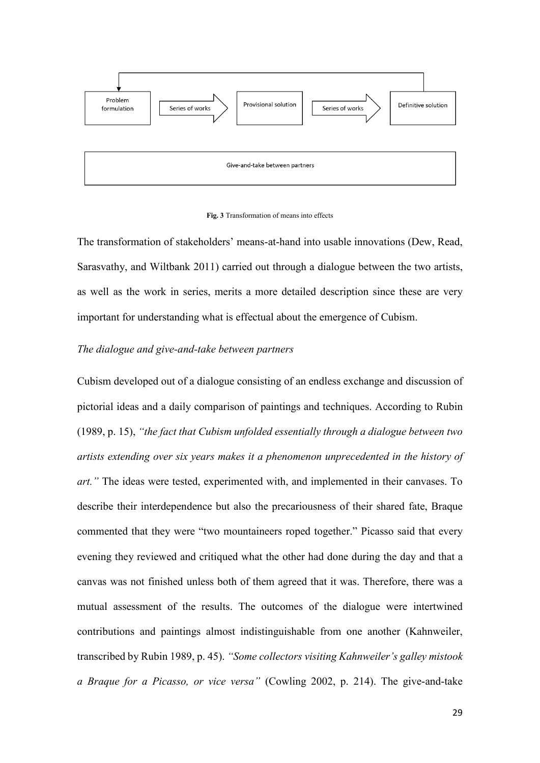



The transformation of stakeholders' means-at-hand into usable innovations (Dew, Read, Sarasvathy, and Wiltbank 2011) carried out through a dialogue between the two artists, as well as the work in series, merits a more detailed description since these are very important for understanding what is effectual about the emergence of Cubism.

# *The dialogue and give-and-take between partners*

Cubism developed out of a dialogue consisting of an endless exchange and discussion of pictorial ideas and a daily comparison of paintings and techniques. According to Rubin (1989, p. 15), *"the fact that Cubism unfolded essentially through a dialogue between two artists extending over six years makes it a phenomenon unprecedented in the history of art."* The ideas were tested, experimented with, and implemented in their canvases. To describe their interdependence but also the precariousness of their shared fate, Braque commented that they were "two mountaineers roped together." Picasso said that every evening they reviewed and critiqued what the other had done during the day and that a canvas was not finished unless both of them agreed that it was. Therefore, there was a mutual assessment of the results. The outcomes of the dialogue were intertwined contributions and paintings almost indistinguishable from one another (Kahnweiler, transcribed by Rubin 1989, p. 45). *"Some collectors visiting Kahnweiler's galley mistook a Braque for a Picasso, or vice versa"* (Cowling 2002, p. 214). The give-and-take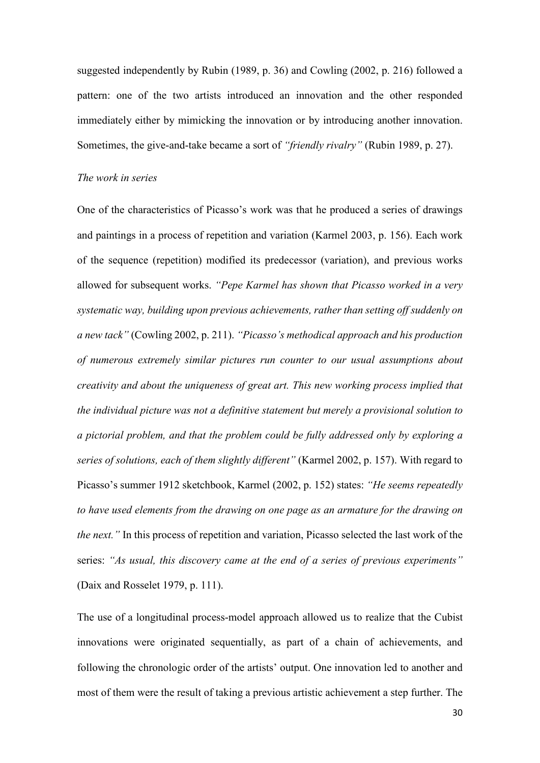suggested independently by Rubin (1989, p. 36) and Cowling (2002, p. 216) followed a pattern: one of the two artists introduced an innovation and the other responded immediately either by mimicking the innovation or by introducing another innovation. Sometimes, the give-and-take became a sort of *"friendly rivalry"* (Rubin 1989, p. 27).

#### *The work in series*

One of the characteristics of Picasso's work was that he produced a series of drawings and paintings in a process of repetition and variation (Karmel 2003, p. 156). Each work of the sequence (repetition) modified its predecessor (variation), and previous works allowed for subsequent works. *"Pepe Karmel has shown that Picasso worked in a very systematic way, building upon previous achievements, rather than setting off suddenly on a new tack"* (Cowling 2002, p. 211). *"Picasso's methodical approach and his production of numerous extremely similar pictures run counter to our usual assumptions about creativity and about the uniqueness of great art. This new working process implied that the individual picture was not a definitive statement but merely a provisional solution to a pictorial problem, and that the problem could be fully addressed only by exploring a series of solutions, each of them slightly different"* (Karmel 2002, p. 157). With regard to Picasso's summer 1912 sketchbook, Karmel (2002, p. 152) states: *"He seems repeatedly to have used elements from the drawing on one page as an armature for the drawing on the next."* In this process of repetition and variation, Picasso selected the last work of the series: *"As usual, this discovery came at the end of a series of previous experiments"* (Daix and Rosselet 1979, p. 111).

The use of a longitudinal process-model approach allowed us to realize that the Cubist innovations were originated sequentially, as part of a chain of achievements, and following the chronologic order of the artists' output. One innovation led to another and most of them were the result of taking a previous artistic achievement a step further. The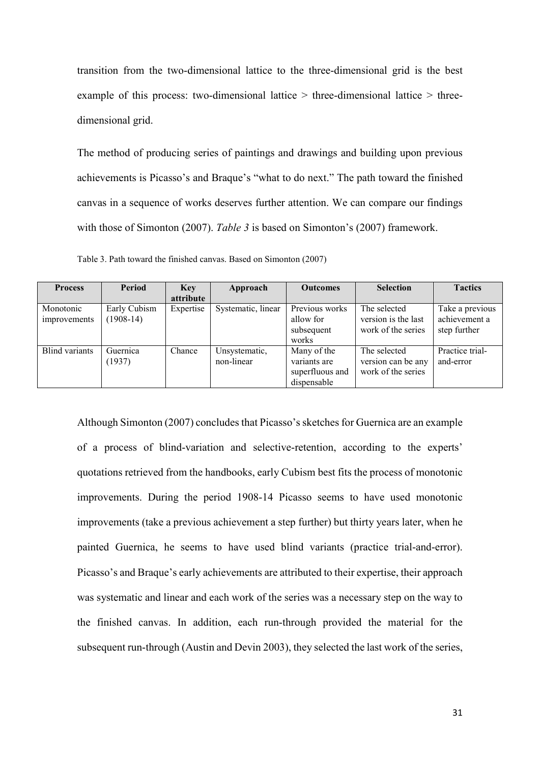transition from the two-dimensional lattice to the three-dimensional grid is the best example of this process: two-dimensional lattice  $>$  three-dimensional lattice  $>$  threedimensional grid.

The method of producing series of paintings and drawings and building upon previous achievements is Picasso's and Braque's "what to do next." The path toward the finished canvas in a sequence of works deserves further attention. We can compare our findings with those of Simonton (2007). *Table 3* is based on Simonton's (2007) framework.

| <b>Process</b>            | <b>Period</b>               | <b>Key</b><br>attribute | Approach                    | <b>Outcomes</b>                                               | <b>Selection</b>                                          | <b>Tactics</b>                                   |
|---------------------------|-----------------------------|-------------------------|-----------------------------|---------------------------------------------------------------|-----------------------------------------------------------|--------------------------------------------------|
| Monotonic<br>improvements | Early Cubism<br>$(1908-14)$ | Expertise               | Systematic, linear          | Previous works<br>allow for<br>subsequent<br>works            | The selected<br>version is the last<br>work of the series | Take a previous<br>achievement a<br>step further |
| <b>Blind</b> variants     | Guernica<br>(1937)          | Chance                  | Unsystematic,<br>non-linear | Many of the<br>variants are<br>superfluous and<br>dispensable | The selected<br>version can be any<br>work of the series  | Practice trial-<br>and-error                     |

Table 3. Path toward the finished canvas. Based on Simonton (2007)

Although Simonton (2007) concludes that Picasso's sketches for Guernica are an example of a process of blind-variation and selective-retention, according to the experts' quotations retrieved from the handbooks, early Cubism best fits the process of monotonic improvements. During the period 1908-14 Picasso seems to have used monotonic improvements (take a previous achievement a step further) but thirty years later, when he painted Guernica, he seems to have used blind variants (practice trial-and-error). Picasso's and Braque's early achievements are attributed to their expertise, their approach was systematic and linear and each work of the series was a necessary step on the way to the finished canvas. In addition, each run-through provided the material for the subsequent run-through (Austin and Devin 2003), they selected the last work of the series,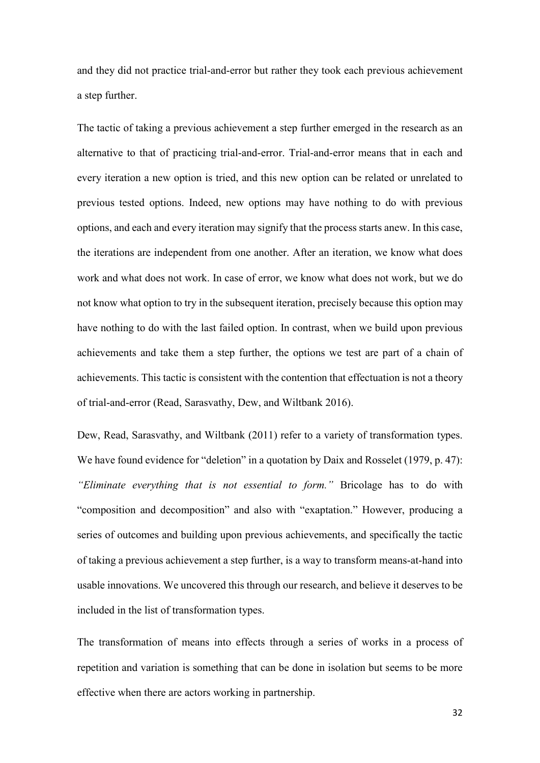and they did not practice trial-and-error but rather they took each previous achievement a step further.

The tactic of taking a previous achievement a step further emerged in the research as an alternative to that of practicing trial-and-error. Trial-and-error means that in each and every iteration a new option is tried, and this new option can be related or unrelated to previous tested options. Indeed, new options may have nothing to do with previous options, and each and every iteration may signify that the process starts anew. In this case, the iterations are independent from one another. After an iteration, we know what does work and what does not work. In case of error, we know what does not work, but we do not know what option to try in the subsequent iteration, precisely because this option may have nothing to do with the last failed option. In contrast, when we build upon previous achievements and take them a step further, the options we test are part of a chain of achievements. This tactic is consistent with the contention that effectuation is not a theory of trial-and-error (Read, Sarasvathy, Dew, and Wiltbank 2016).

Dew, Read, Sarasvathy, and Wiltbank (2011) refer to a variety of transformation types. We have found evidence for "deletion" in a quotation by Daix and Rosselet (1979, p. 47): *"Eliminate everything that is not essential to form."* Bricolage has to do with "composition and decomposition" and also with "exaptation." However, producing a series of outcomes and building upon previous achievements, and specifically the tactic of taking a previous achievement a step further, is a way to transform means-at-hand into usable innovations. We uncovered this through our research, and believe it deserves to be included in the list of transformation types.

The transformation of means into effects through a series of works in a process of repetition and variation is something that can be done in isolation but seems to be more effective when there are actors working in partnership.

32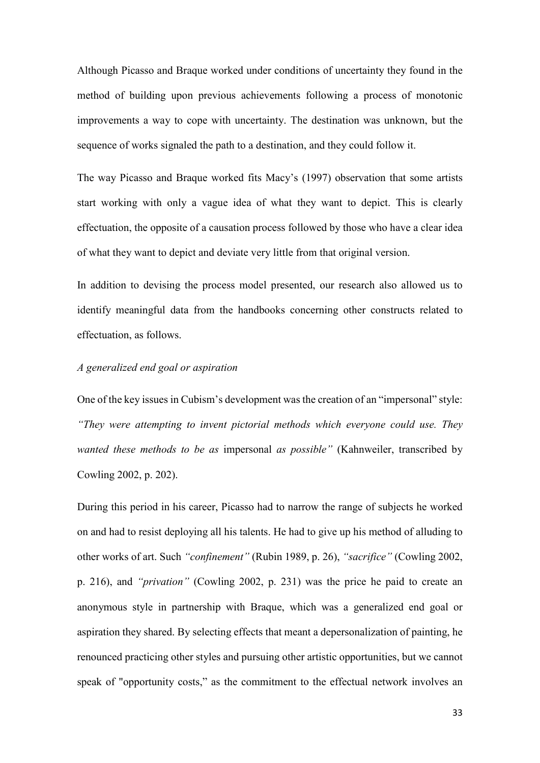Although Picasso and Braque worked under conditions of uncertainty they found in the method of building upon previous achievements following a process of monotonic improvements a way to cope with uncertainty. The destination was unknown, but the sequence of works signaled the path to a destination, and they could follow it.

The way Picasso and Braque worked fits Macy's (1997) observation that some artists start working with only a vague idea of what they want to depict. This is clearly effectuation, the opposite of a causation process followed by those who have a clear idea of what they want to depict and deviate very little from that original version.

In addition to devising the process model presented, our research also allowed us to identify meaningful data from the handbooks concerning other constructs related to effectuation, as follows.

# *A generalized end goal or aspiration*

One of the key issues in Cubism's development was the creation of an "impersonal" style: *"They were attempting to invent pictorial methods which everyone could use. They wanted these methods to be as* impersonal *as possible"* (Kahnweiler, transcribed by Cowling 2002, p. 202).

During this period in his career, Picasso had to narrow the range of subjects he worked on and had to resist deploying all his talents. He had to give up his method of alluding to other works of art. Such *"confinement"* (Rubin 1989, p. 26), *"sacrifice"* (Cowling 2002, p. 216), and *"privation"* (Cowling 2002, p. 231) was the price he paid to create an anonymous style in partnership with Braque, which was a generalized end goal or aspiration they shared. By selecting effects that meant a depersonalization of painting, he renounced practicing other styles and pursuing other artistic opportunities, but we cannot speak of "opportunity costs," as the commitment to the effectual network involves an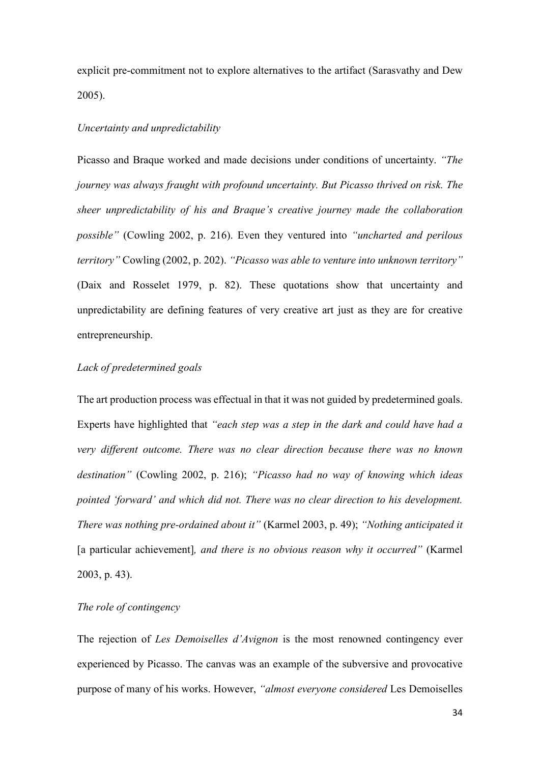explicit pre-commitment not to explore alternatives to the artifact (Sarasvathy and Dew 2005).

# *Uncertainty and unpredictability*

Picasso and Braque worked and made decisions under conditions of uncertainty. *"The journey was always fraught with profound uncertainty. But Picasso thrived on risk. The sheer unpredictability of his and Braque's creative journey made the collaboration possible"* (Cowling 2002, p. 216). Even they ventured into *"uncharted and perilous territory"* Cowling (2002, p. 202). *"Picasso was able to venture into unknown territory"* (Daix and Rosselet 1979, p. 82). These quotations show that uncertainty and unpredictability are defining features of very creative art just as they are for creative entrepreneurship.

# *Lack of predetermined goals*

The art production process was effectual in that it was not guided by predetermined goals. Experts have highlighted that *"each step was a step in the dark and could have had a very different outcome. There was no clear direction because there was no known destination"* (Cowling 2002, p. 216); *"Picasso had no way of knowing which ideas pointed 'forward' and which did not. There was no clear direction to his development. There was nothing pre-ordained about it"* (Karmel 2003, p. 49); *"Nothing anticipated it*  [a particular achievement]*, and there is no obvious reason why it occurred"* (Karmel 2003, p. 43).

# *The role of contingency*

The rejection of *Les Demoiselles d'Avignon* is the most renowned contingency ever experienced by Picasso. The canvas was an example of the subversive and provocative purpose of many of his works. However, *"almost everyone considered* Les Demoiselles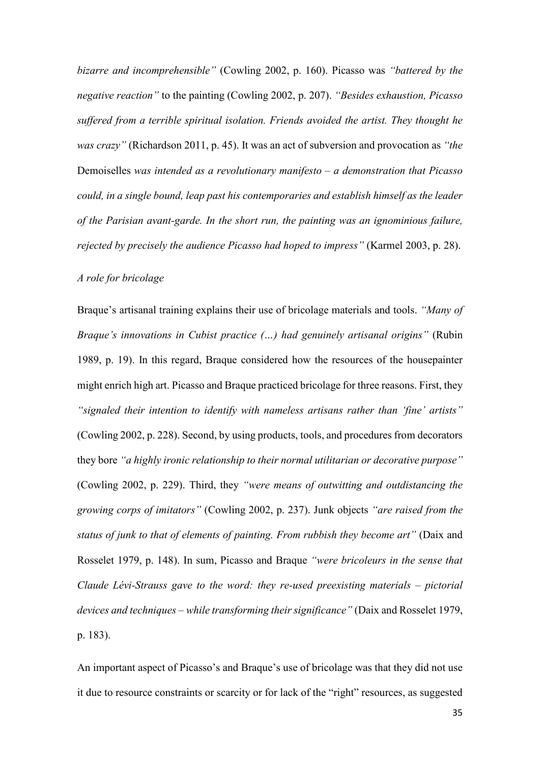*bizarre and incomprehensible"* (Cowling 2002, p. 160). Picasso was *"battered by the negative reaction"* to the painting (Cowling 2002, p. 207). *"Besides exhaustion, Picasso suffered from a terrible spiritual isolation. Friends avoided the artist. They thought he was crazy"* (Richardson 2011, p. 45). It was an act of subversion and provocation as *"the*  Demoiselles *was intended as a revolutionary manifesto – a demonstration that Picasso could, in a single bound, leap past his contemporaries and establish himself as the leader of the Parisian avant-garde. In the short run, the painting was an ignominious failure, rejected by precisely the audience Picasso had hoped to impress"* (Karmel 2003, p. 28).

# *A role for bricolage*

Braque's artisanal training explains their use of bricolage materials and tools. *"Many of Braque's innovations in Cubist practice (…) had genuinely artisanal origins"* (Rubin 1989, p. 19). In this regard, Braque considered how the resources of the housepainter might enrich high art. Picasso and Braque practiced bricolage for three reasons. First, they *"signaled their intention to identify with nameless artisans rather than 'fine' artists"* (Cowling 2002, p. 228). Second, by using products, tools, and procedures from decorators they bore *"a highly ironic relationship to their normal utilitarian or decorative purpose"* (Cowling 2002, p. 229). Third, they *"were means of outwitting and outdistancing the growing corps of imitators"* (Cowling 2002, p. 237). Junk objects *"are raised from the status of junk to that of elements of painting. From rubbish they become art"* (Daix and Rosselet 1979, p. 148). In sum, Picasso and Braque *"were bricoleurs in the sense that Claude Lévi-Strauss gave to the word: they re-used preexisting materials – pictorial devices and techniques – while transforming their significance"* (Daix and Rosselet 1979, p. 183).

An important aspect of Picasso's and Braque's use of bricolage was that they did not use it due to resource constraints or scarcity or for lack of the "right" resources, as suggested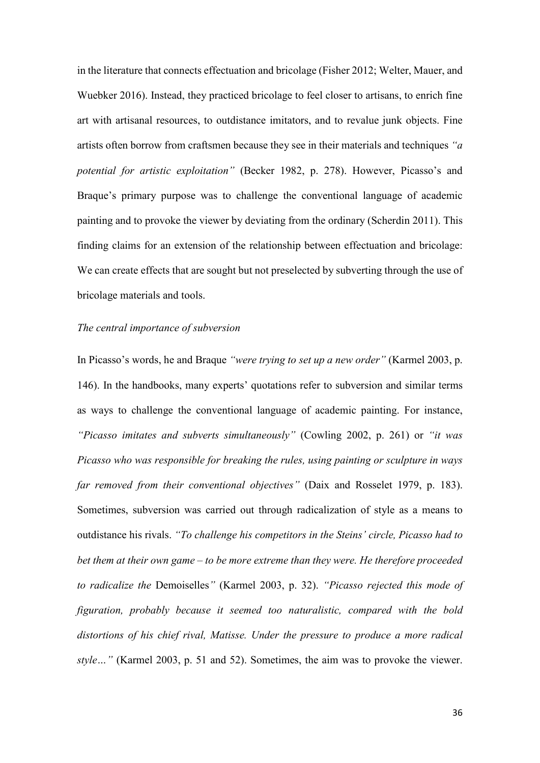in the literature that connects effectuation and bricolage (Fisher 2012; Welter, Mauer, and Wuebker 2016). Instead, they practiced bricolage to feel closer to artisans, to enrich fine art with artisanal resources, to outdistance imitators, and to revalue junk objects. Fine artists often borrow from craftsmen because they see in their materials and techniques *"a potential for artistic exploitation"* (Becker 1982, p. 278). However, Picasso's and Braque's primary purpose was to challenge the conventional language of academic painting and to provoke the viewer by deviating from the ordinary (Scherdin 2011). This finding claims for an extension of the relationship between effectuation and bricolage: We can create effects that are sought but not preselected by subverting through the use of bricolage materials and tools.

#### *The central importance of subversion*

In Picasso's words, he and Braque *"were trying to set up a new order"* (Karmel 2003, p. 146). In the handbooks, many experts' quotations refer to subversion and similar terms as ways to challenge the conventional language of academic painting. For instance, *"Picasso imitates and subverts simultaneously"* (Cowling 2002, p. 261) or *"it was Picasso who was responsible for breaking the rules, using painting or sculpture in ways far removed from their conventional objectives"* (Daix and Rosselet 1979, p. 183). Sometimes, subversion was carried out through radicalization of style as a means to outdistance his rivals. *"To challenge his competitors in the Steins' circle, Picasso had to bet them at their own game – to be more extreme than they were. He therefore proceeded to radicalize the* Demoiselles*"* (Karmel 2003, p. 32). *"Picasso rejected this mode of figuration, probably because it seemed too naturalistic, compared with the bold distortions of his chief rival, Matisse. Under the pressure to produce a more radical style…"* (Karmel 2003, p. 51 and 52). Sometimes, the aim was to provoke the viewer.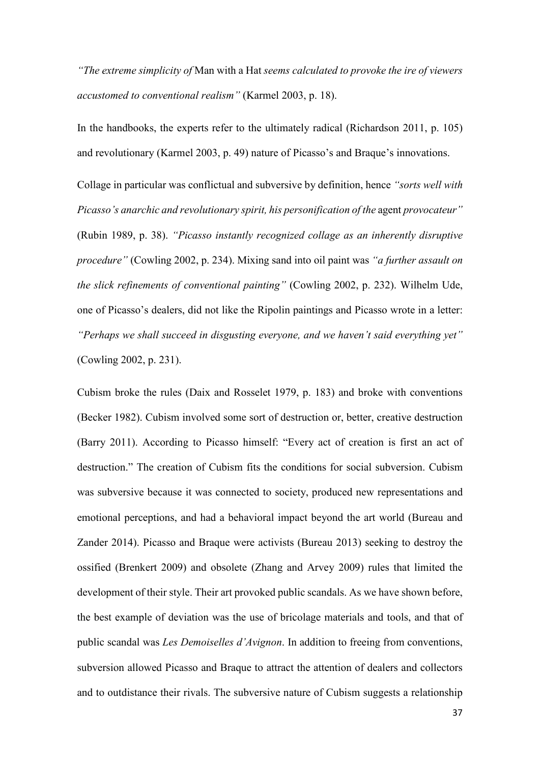*"The extreme simplicity of* Man with a Hat *seems calculated to provoke the ire of viewers accustomed to conventional realism"* (Karmel 2003, p. 18).

In the handbooks, the experts refer to the ultimately radical (Richardson 2011, p. 105) and revolutionary (Karmel 2003, p. 49) nature of Picasso's and Braque's innovations.

Collage in particular was conflictual and subversive by definition, hence *"sorts well with Picasso's anarchic and revolutionary spirit, his personification of the agent provocateur*" (Rubin 1989, p. 38). *"Picasso instantly recognized collage as an inherently disruptive procedure"* (Cowling 2002, p. 234). Mixing sand into oil paint was *"a further assault on the slick refinements of conventional painting"* (Cowling 2002, p. 232). Wilhelm Ude, one of Picasso's dealers, did not like the Ripolin paintings and Picasso wrote in a letter: *"Perhaps we shall succeed in disgusting everyone, and we haven't said everything yet"* (Cowling 2002, p. 231).

Cubism broke the rules (Daix and Rosselet 1979, p. 183) and broke with conventions (Becker 1982). Cubism involved some sort of destruction or, better, creative destruction (Barry 2011). According to Picasso himself: "Every act of creation is first an act of destruction." The creation of Cubism fits the conditions for social subversion. Cubism was subversive because it was connected to society, produced new representations and emotional perceptions, and had a behavioral impact beyond the art world (Bureau and Zander 2014). Picasso and Braque were activists (Bureau 2013) seeking to destroy the ossified (Brenkert 2009) and obsolete (Zhang and Arvey 2009) rules that limited the development of their style. Their art provoked public scandals. As we have shown before, the best example of deviation was the use of bricolage materials and tools, and that of public scandal was *Les Demoiselles d'Avignon*. In addition to freeing from conventions, subversion allowed Picasso and Braque to attract the attention of dealers and collectors and to outdistance their rivals. The subversive nature of Cubism suggests a relationship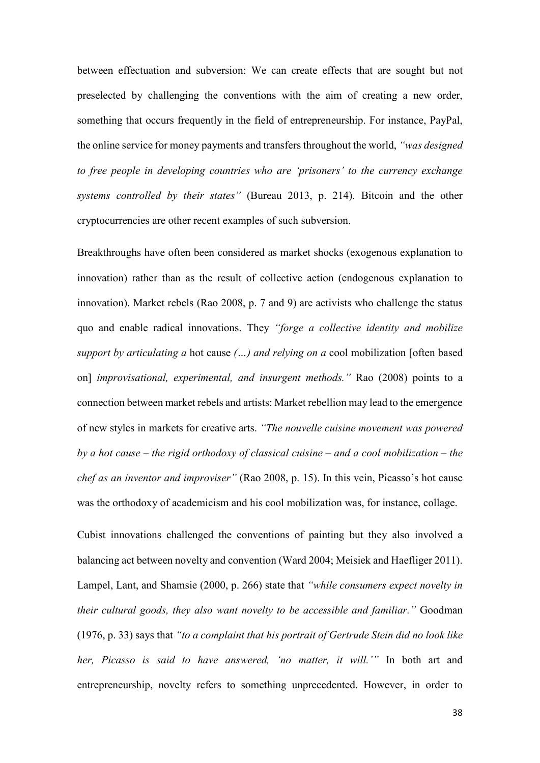between effectuation and subversion: We can create effects that are sought but not preselected by challenging the conventions with the aim of creating a new order, something that occurs frequently in the field of entrepreneurship. For instance, PayPal, the online service for money payments and transfers throughout the world, *"was designed to free people in developing countries who are 'prisoners' to the currency exchange systems controlled by their states"* (Bureau 2013, p. 214). Bitcoin and the other cryptocurrencies are other recent examples of such subversion.

Breakthroughs have often been considered as market shocks (exogenous explanation to innovation) rather than as the result of collective action (endogenous explanation to innovation). Market rebels (Rao 2008, p. 7 and 9) are activists who challenge the status quo and enable radical innovations. They *"forge a collective identity and mobilize support by articulating a* hot cause *(…) and relying on a* cool mobilization [often based on] *improvisational, experimental, and insurgent methods."* Rao (2008) points to a connection between market rebels and artists: Market rebellion may lead to the emergence of new styles in markets for creative arts. *"The nouvelle cuisine movement was powered by a hot cause – the rigid orthodoxy of classical cuisine – and a cool mobilization – the chef as an inventor and improviser"* (Rao 2008, p. 15). In this vein, Picasso's hot cause was the orthodoxy of academicism and his cool mobilization was, for instance, collage.

Cubist innovations challenged the conventions of painting but they also involved a balancing act between novelty and convention (Ward 2004; Meisiek and Haefliger 2011). Lampel, Lant, and Shamsie (2000, p. 266) state that *"while consumers expect novelty in their cultural goods, they also want novelty to be accessible and familiar."* Goodman (1976, p. 33) says that *"to a complaint that his portrait of Gertrude Stein did no look like her, Picasso is said to have answered, 'no matter, it will.'"* In both art and entrepreneurship, novelty refers to something unprecedented. However, in order to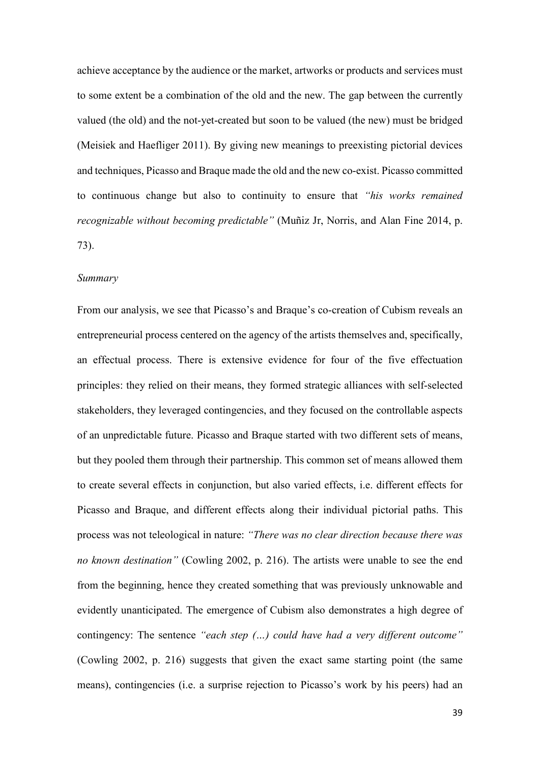achieve acceptance by the audience or the market, artworks or products and services must to some extent be a combination of the old and the new. The gap between the currently valued (the old) and the not-yet-created but soon to be valued (the new) must be bridged (Meisiek and Haefliger 2011). By giving new meanings to preexisting pictorial devices and techniques, Picasso and Braque made the old and the new co-exist. Picasso committed to continuous change but also to continuity to ensure that *"his works remained recognizable without becoming predictable"* (Muñiz Jr, Norris, and Alan Fine 2014, p. 73).

#### *Summary*

From our analysis, we see that Picasso's and Braque's co-creation of Cubism reveals an entrepreneurial process centered on the agency of the artists themselves and, specifically, an effectual process. There is extensive evidence for four of the five effectuation principles: they relied on their means, they formed strategic alliances with self-selected stakeholders, they leveraged contingencies, and they focused on the controllable aspects of an unpredictable future. Picasso and Braque started with two different sets of means, but they pooled them through their partnership. This common set of means allowed them to create several effects in conjunction, but also varied effects, i.e. different effects for Picasso and Braque, and different effects along their individual pictorial paths. This process was not teleological in nature: *"There was no clear direction because there was no known destination"* (Cowling 2002, p. 216). The artists were unable to see the end from the beginning, hence they created something that was previously unknowable and evidently unanticipated. The emergence of Cubism also demonstrates a high degree of contingency: The sentence *"each step (…) could have had a very different outcome"* (Cowling 2002, p. 216) suggests that given the exact same starting point (the same means), contingencies (i.e. a surprise rejection to Picasso's work by his peers) had an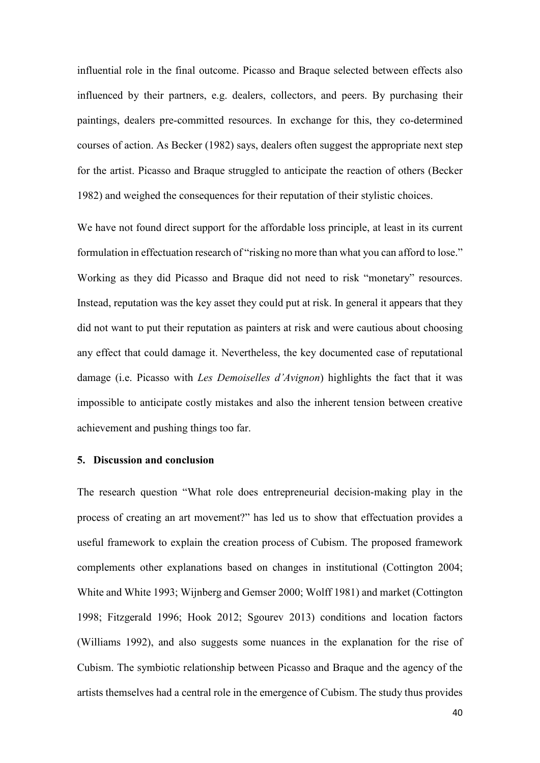influential role in the final outcome. Picasso and Braque selected between effects also influenced by their partners, e.g. dealers, collectors, and peers. By purchasing their paintings, dealers pre-committed resources. In exchange for this, they co-determined courses of action. As Becker (1982) says, dealers often suggest the appropriate next step for the artist. Picasso and Braque struggled to anticipate the reaction of others (Becker 1982) and weighed the consequences for their reputation of their stylistic choices.

We have not found direct support for the affordable loss principle, at least in its current formulation in effectuation research of "risking no more than what you can afford to lose." Working as they did Picasso and Braque did not need to risk "monetary" resources. Instead, reputation was the key asset they could put at risk. In general it appears that they did not want to put their reputation as painters at risk and were cautious about choosing any effect that could damage it. Nevertheless, the key documented case of reputational damage (i.e. Picasso with *Les Demoiselles d'Avignon*) highlights the fact that it was impossible to anticipate costly mistakes and also the inherent tension between creative achievement and pushing things too far.

#### **5. Discussion and conclusion**

The research question "What role does entrepreneurial decision-making play in the process of creating an art movement?" has led us to show that effectuation provides a useful framework to explain the creation process of Cubism. The proposed framework complements other explanations based on changes in institutional (Cottington 2004; White and White 1993; Wijnberg and Gemser 2000; Wolff 1981) and market (Cottington 1998; Fitzgerald 1996; Hook 2012; Sgourev 2013) conditions and location factors (Williams 1992), and also suggests some nuances in the explanation for the rise of Cubism. The symbiotic relationship between Picasso and Braque and the agency of the artists themselves had a central role in the emergence of Cubism. The study thus provides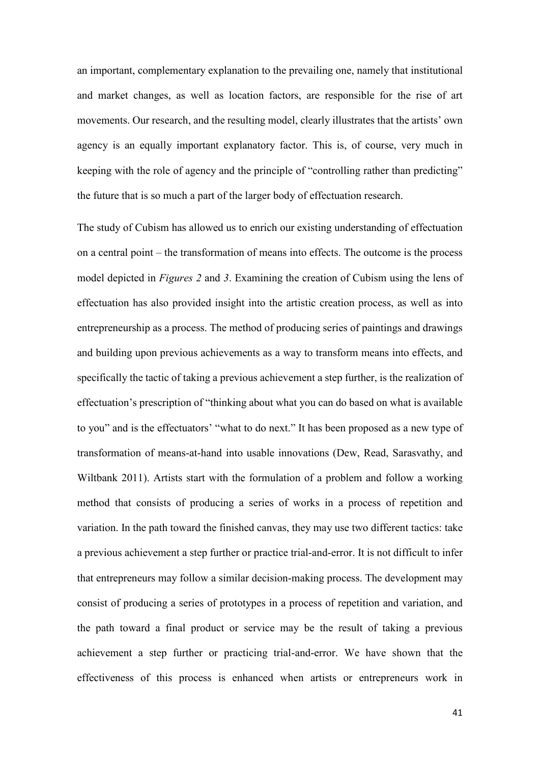an important, complementary explanation to the prevailing one, namely that institutional and market changes, as well as location factors, are responsible for the rise of art movements. Our research, and the resulting model, clearly illustrates that the artists' own agency is an equally important explanatory factor. This is, of course, very much in keeping with the role of agency and the principle of "controlling rather than predicting" the future that is so much a part of the larger body of effectuation research.

The study of Cubism has allowed us to enrich our existing understanding of effectuation on a central point – the transformation of means into effects. The outcome is the process model depicted in *Figures 2* and *3*. Examining the creation of Cubism using the lens of effectuation has also provided insight into the artistic creation process, as well as into entrepreneurship as a process. The method of producing series of paintings and drawings and building upon previous achievements as a way to transform means into effects, and specifically the tactic of taking a previous achievement a step further, is the realization of effectuation's prescription of "thinking about what you can do based on what is available to you" and is the effectuators' "what to do next." It has been proposed as a new type of transformation of means-at-hand into usable innovations (Dew, Read, Sarasvathy, and Wiltbank 2011). Artists start with the formulation of a problem and follow a working method that consists of producing a series of works in a process of repetition and variation. In the path toward the finished canvas, they may use two different tactics: take a previous achievement a step further or practice trial-and-error. It is not difficult to infer that entrepreneurs may follow a similar decision-making process. The development may consist of producing a series of prototypes in a process of repetition and variation, and the path toward a final product or service may be the result of taking a previous achievement a step further or practicing trial-and-error. We have shown that the effectiveness of this process is enhanced when artists or entrepreneurs work in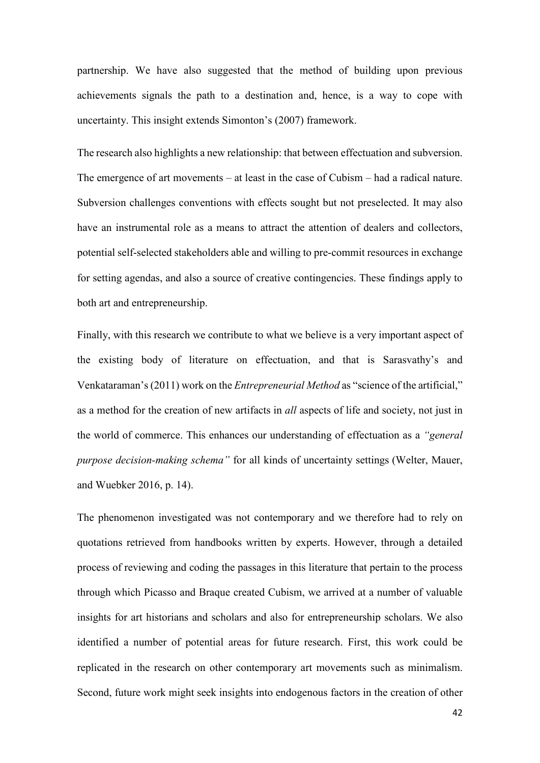partnership. We have also suggested that the method of building upon previous achievements signals the path to a destination and, hence, is a way to cope with uncertainty. This insight extends Simonton's (2007) framework.

The research also highlights a new relationship: that between effectuation and subversion. The emergence of art movements – at least in the case of Cubism – had a radical nature. Subversion challenges conventions with effects sought but not preselected. It may also have an instrumental role as a means to attract the attention of dealers and collectors, potential self-selected stakeholders able and willing to pre-commit resources in exchange for setting agendas, and also a source of creative contingencies. These findings apply to both art and entrepreneurship.

Finally, with this research we contribute to what we believe is a very important aspect of the existing body of literature on effectuation, and that is Sarasvathy's and Venkataraman's (2011) work on the *Entrepreneurial Method* as "science of the artificial," as a method for the creation of new artifacts in *all* aspects of life and society, not just in the world of commerce. This enhances our understanding of effectuation as a *"general purpose decision-making schema"* for all kinds of uncertainty settings (Welter, Mauer, and Wuebker 2016, p. 14).

The phenomenon investigated was not contemporary and we therefore had to rely on quotations retrieved from handbooks written by experts. However, through a detailed process of reviewing and coding the passages in this literature that pertain to the process through which Picasso and Braque created Cubism, we arrived at a number of valuable insights for art historians and scholars and also for entrepreneurship scholars. We also identified a number of potential areas for future research. First, this work could be replicated in the research on other contemporary art movements such as minimalism. Second, future work might seek insights into endogenous factors in the creation of other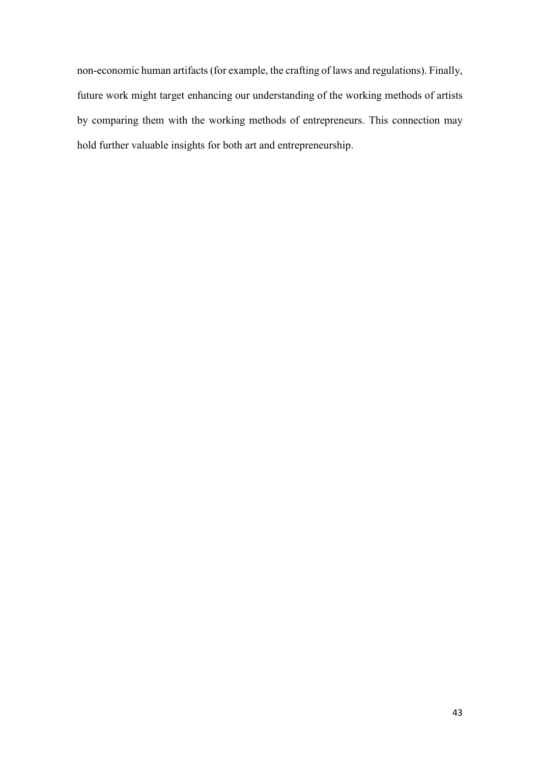non-economic human artifacts (for example, the crafting of laws and regulations). Finally, future work might target enhancing our understanding of the working methods of artists by comparing them with the working methods of entrepreneurs. This connection may hold further valuable insights for both art and entrepreneurship.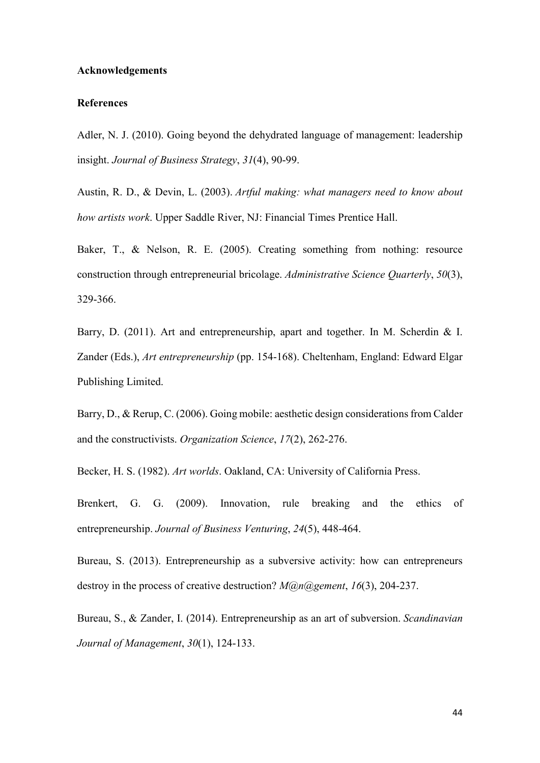#### **Acknowledgements**

#### **References**

Adler, N. J. (2010). Going beyond the dehydrated language of management: leadership insight. *Journal of Business Strategy*, *31*(4), 90-99.

Austin, R. D., & Devin, L. (2003). *Artful making: what managers need to know about how artists work*. Upper Saddle River, NJ: Financial Times Prentice Hall.

Baker, T., & Nelson, R. E. (2005). Creating something from nothing: resource construction through entrepreneurial bricolage. *Administrative Science Quarterly*, *50*(3), 329-366.

Barry, D. (2011). Art and entrepreneurship, apart and together. In M. Scherdin & I. Zander (Eds.), *Art entrepreneurship* (pp. 154-168). Cheltenham, England: Edward Elgar Publishing Limited.

Barry, D., & Rerup, C. (2006). Going mobile: aesthetic design considerations from Calder and the constructivists. *Organization Science*, *17*(2), 262-276.

Becker, H. S. (1982). *Art worlds*. Oakland, CA: University of California Press.

Brenkert, G. G. (2009). Innovation, rule breaking and the ethics of entrepreneurship. *Journal of Business Venturing*, *24*(5), 448-464.

Bureau, S. (2013). Entrepreneurship as a subversive activity: how can entrepreneurs destroy in the process of creative destruction? *M@n@gement*, *16*(3), 204-237.

Bureau, S., & Zander, I. (2014). Entrepreneurship as an art of subversion. *Scandinavian Journal of Management*, *30*(1), 124-133.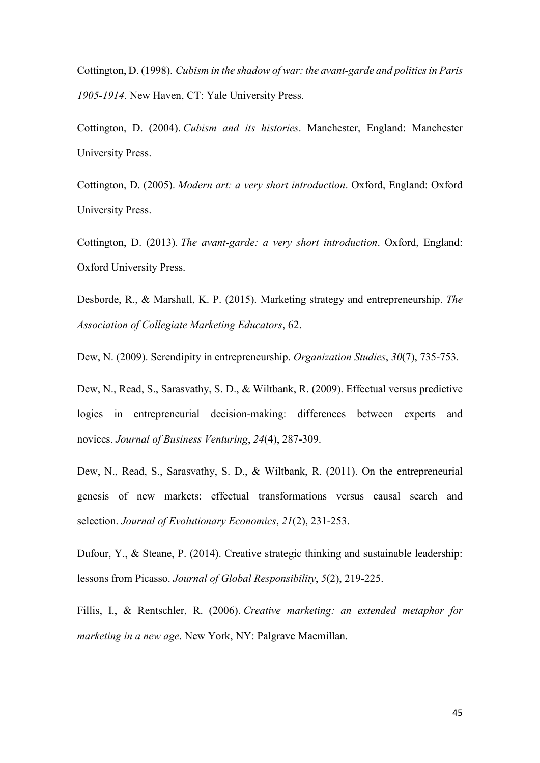Cottington, D. (1998). *Cubism in the shadow of war: the avant-garde and politics in Paris 1905-1914*. New Haven, CT: Yale University Press.

Cottington, D. (2004). *Cubism and its histories*. Manchester, England: Manchester University Press.

Cottington, D. (2005). *Modern art: a very short introduction*. Oxford, England: Oxford University Press.

Cottington, D. (2013). *The avant-garde: a very short introduction*. Oxford, England: Oxford University Press.

Desborde, R., & Marshall, K. P. (2015). Marketing strategy and entrepreneurship. *The Association of Collegiate Marketing Educators*, 62.

Dew, N. (2009). Serendipity in entrepreneurship. *Organization Studies*, *30*(7), 735-753.

Dew, N., Read, S., Sarasvathy, S. D., & Wiltbank, R. (2009). Effectual versus predictive logics in entrepreneurial decision-making: differences between experts and novices. *Journal of Business Venturing*, *24*(4), 287-309.

Dew, N., Read, S., Sarasvathy, S. D., & Wiltbank, R. (2011). On the entrepreneurial genesis of new markets: effectual transformations versus causal search and selection. *Journal of Evolutionary Economics*, *21*(2), 231-253.

Dufour, Y., & Steane, P. (2014). Creative strategic thinking and sustainable leadership: lessons from Picasso. *Journal of Global Responsibility*, *5*(2), 219-225.

Fillis, I., & Rentschler, R. (2006). *Creative marketing: an extended metaphor for marketing in a new age*. New York, NY: Palgrave Macmillan.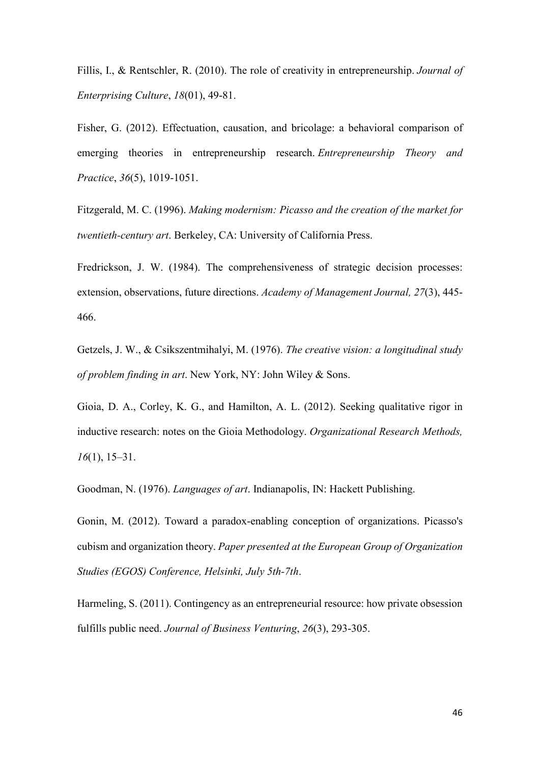Fillis, I., & Rentschler, R. (2010). The role of creativity in entrepreneurship. *Journal of Enterprising Culture*, *18*(01), 49-81.

Fisher, G. (2012). Effectuation, causation, and bricolage: a behavioral comparison of emerging theories in entrepreneurship research. *Entrepreneurship Theory and Practice*, *36*(5), 1019-1051.

Fitzgerald, M. C. (1996). *Making modernism: Picasso and the creation of the market for twentieth-century art*. Berkeley, CA: University of California Press.

Fredrickson, J. W. (1984). The comprehensiveness of strategic decision processes: extension, observations, future directions. *Academy of Management Journal, 27*(3), 445- 466.

Getzels, J. W., & Csikszentmihalyi, M. (1976). *The creative vision: a longitudinal study of problem finding in art*. New York, NY: John Wiley & Sons.

Gioia, D. A., Corley, K. G., and Hamilton, A. L. (2012). Seeking qualitative rigor in inductive research: notes on the Gioia Methodology. *Organizational Research Methods, 16*(1), 15–31.

Goodman, N. (1976). *Languages of art*. Indianapolis, IN: Hackett Publishing.

Gonin, M. (2012). Toward a paradox-enabling conception of organizations. Picasso's cubism and organization theory. *Paper presented at the European Group of Organization Studies (EGOS) Conference, Helsinki, July 5th-7th*.

Harmeling, S. (2011). Contingency as an entrepreneurial resource: how private obsession fulfills public need. *Journal of Business Venturing*, *26*(3), 293-305.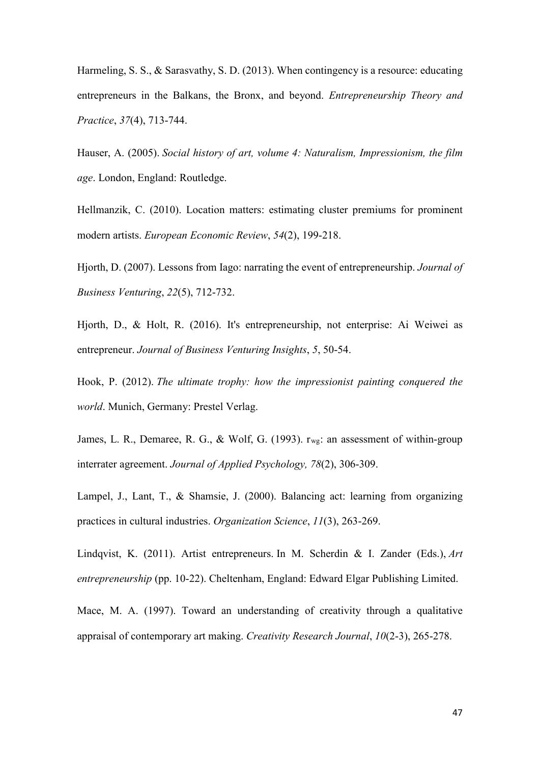Harmeling, S. S., & Sarasvathy, S. D. (2013). When contingency is a resource: educating entrepreneurs in the Balkans, the Bronx, and beyond. *Entrepreneurship Theory and Practice*, *37*(4), 713-744.

Hauser, A. (2005). *Social history of art, volume 4: Naturalism, Impressionism, the film age*. London, England: Routledge.

Hellmanzik, C. (2010). Location matters: estimating cluster premiums for prominent modern artists. *European Economic Review*, *54*(2), 199-218.

Hjorth, D. (2007). Lessons from Iago: narrating the event of entrepreneurship. *Journal of Business Venturing*, *22*(5), 712-732.

Hjorth, D., & Holt, R. (2016). It's entrepreneurship, not enterprise: Ai Weiwei as entrepreneur. *Journal of Business Venturing Insights*, *5*, 50-54.

Hook, P. (2012). *The ultimate trophy: how the impressionist painting conquered the world*. Munich, Germany: Prestel Verlag.

James, L. R., Demaree, R. G., & Wolf, G. (1993). r<sub>wg</sub>: an assessment of within-group interrater agreement. *Journal of Applied Psychology, 78*(2), 306-309.

Lampel, J., Lant, T., & Shamsie, J. (2000). Balancing act: learning from organizing practices in cultural industries. *Organization Science*, *11*(3), 263-269.

Lindqvist, K. (2011). Artist entrepreneurs. In M. Scherdin & I. Zander (Eds.), *Art entrepreneurship* (pp. 10-22). Cheltenham, England: Edward Elgar Publishing Limited.

Mace, M. A. (1997). Toward an understanding of creativity through a qualitative appraisal of contemporary art making. *Creativity Research Journal*, *10*(2-3), 265-278.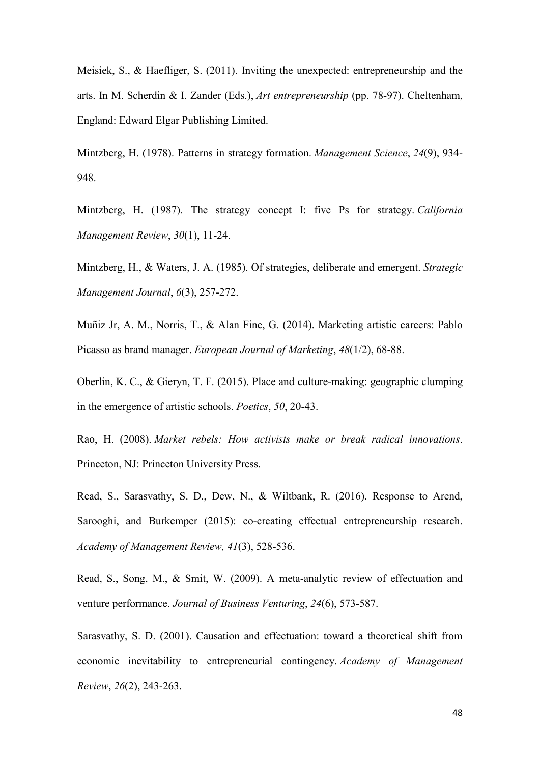Meisiek, S., & Haefliger, S. (2011). Inviting the unexpected: entrepreneurship and the arts. In M. Scherdin & I. Zander (Eds.), *Art entrepreneurship* (pp. 78-97). Cheltenham, England: Edward Elgar Publishing Limited.

Mintzberg, H. (1978). Patterns in strategy formation. *Management Science*, *24*(9), 934- 948.

Mintzberg, H. (1987). The strategy concept I: five Ps for strategy. *California Management Review*, *30*(1), 11-24.

Mintzberg, H., & Waters, J. A. (1985). Of strategies, deliberate and emergent. *Strategic Management Journal*, *6*(3), 257-272.

Muñiz Jr, A. M., Norris, T., & Alan Fine, G. (2014). Marketing artistic careers: Pablo Picasso as brand manager. *European Journal of Marketing*, *48*(1/2), 68-88.

Oberlin, K. C., & Gieryn, T. F. (2015). Place and culture-making: geographic clumping in the emergence of artistic schools. *Poetics*, *50*, 20-43.

Rao, H. (2008). *Market rebels: How activists make or break radical innovations*. Princeton, NJ: Princeton University Press.

Read, S., Sarasvathy, S. D., Dew, N., & Wiltbank, R. (2016). Response to Arend, Sarooghi, and Burkemper (2015): co-creating effectual entrepreneurship research. *Academy of Management Review, 41*(3), 528-536.

Read, S., Song, M., & Smit, W. (2009). A meta-analytic review of effectuation and venture performance. *Journal of Business Venturing*, *24*(6), 573-587.

Sarasvathy, S. D. (2001). Causation and effectuation: toward a theoretical shift from economic inevitability to entrepreneurial contingency. *Academy of Management Review*, *26*(2), 243-263.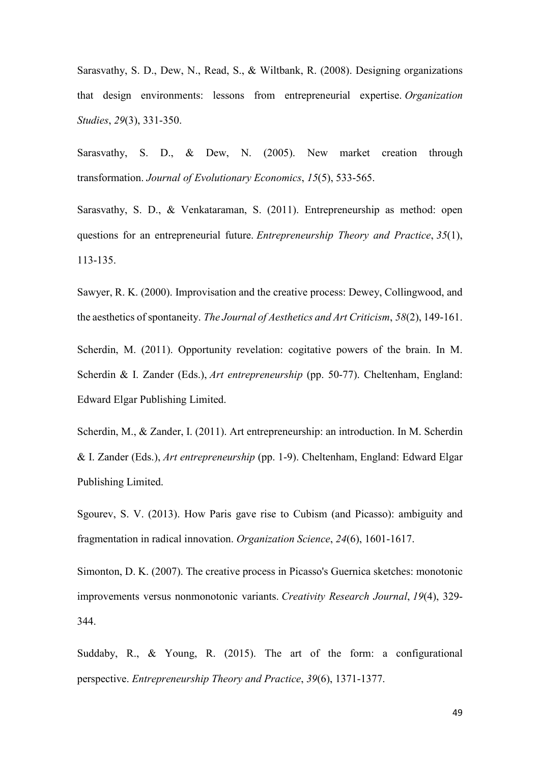Sarasvathy, S. D., Dew, N., Read, S., & Wiltbank, R. (2008). Designing organizations that design environments: lessons from entrepreneurial expertise. *Organization Studies*, *29*(3), 331-350.

Sarasvathy, S. D., & Dew, N. (2005). New market creation through transformation. *Journal of Evolutionary Economics*, *15*(5), 533-565.

Sarasvathy, S. D., & Venkataraman, S. (2011). Entrepreneurship as method: open questions for an entrepreneurial future. *Entrepreneurship Theory and Practice*, *35*(1), 113-135.

Sawyer, R. K. (2000). Improvisation and the creative process: Dewey, Collingwood, and the aesthetics of spontaneity. *The Journal of Aesthetics and Art Criticism*, *58*(2), 149-161.

Scherdin, M. (2011). Opportunity revelation: cogitative powers of the brain. In M. Scherdin & I. Zander (Eds.), *Art entrepreneurship* (pp. 50-77). Cheltenham, England: Edward Elgar Publishing Limited.

Scherdin, M., & Zander, I. (2011). Art entrepreneurship: an introduction. In M. Scherdin & I. Zander (Eds.), *Art entrepreneurship* (pp. 1-9). Cheltenham, England: Edward Elgar Publishing Limited.

Sgourev, S. V. (2013). How Paris gave rise to Cubism (and Picasso): ambiguity and fragmentation in radical innovation. *Organization Science*, *24*(6), 1601-1617.

Simonton, D. K. (2007). The creative process in Picasso's Guernica sketches: monotonic improvements versus nonmonotonic variants. *Creativity Research Journal*, *19*(4), 329- 344.

Suddaby, R., & Young, R. (2015). The art of the form: a configurational perspective. *Entrepreneurship Theory and Practice*, *39*(6), 1371-1377.

49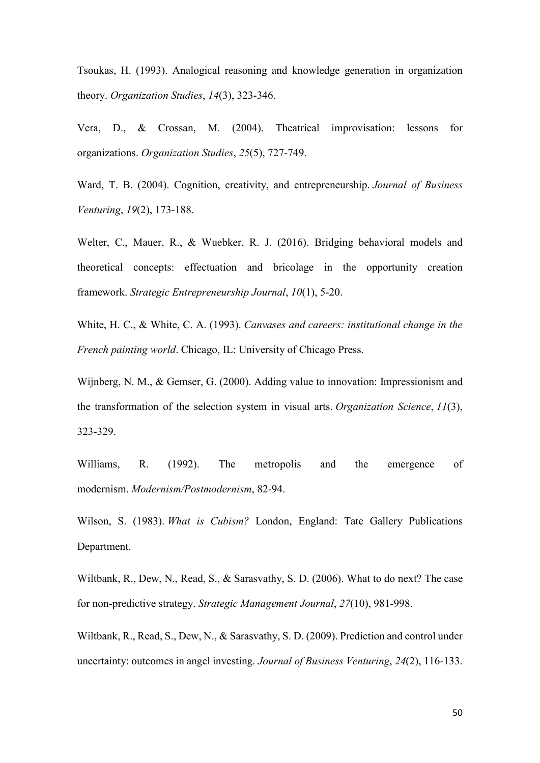Tsoukas, H. (1993). Analogical reasoning and knowledge generation in organization theory. *Organization Studies*, *14*(3), 323-346.

Vera, D., & Crossan, M. (2004). Theatrical improvisation: lessons for organizations. *Organization Studies*, *25*(5), 727-749.

Ward, T. B. (2004). Cognition, creativity, and entrepreneurship. *Journal of Business Venturing*, *19*(2), 173-188.

Welter, C., Mauer, R., & Wuebker, R. J. (2016). Bridging behavioral models and theoretical concepts: effectuation and bricolage in the opportunity creation framework. *Strategic Entrepreneurship Journal*, *10*(1), 5-20.

White, H. C., & White, C. A. (1993). *Canvases and careers: institutional change in the French painting world*. Chicago, IL: University of Chicago Press.

Wijnberg, N. M., & Gemser, G. (2000). Adding value to innovation: Impressionism and the transformation of the selection system in visual arts. *Organization Science*, *11*(3), 323-329.

Williams, R. (1992). The metropolis and the emergence of modernism. *Modernism/Postmodernism*, 82-94.

Wilson, S. (1983). *What is Cubism?* London, England: Tate Gallery Publications Department.

Wiltbank, R., Dew, N., Read, S., & Sarasvathy, S. D. (2006). What to do next? The case for non‐predictive strategy. *Strategic Management Journal*, *27*(10), 981-998.

Wiltbank, R., Read, S., Dew, N., & Sarasvathy, S. D. (2009). Prediction and control under uncertainty: outcomes in angel investing. *Journal of Business Venturing*, *24*(2), 116-133.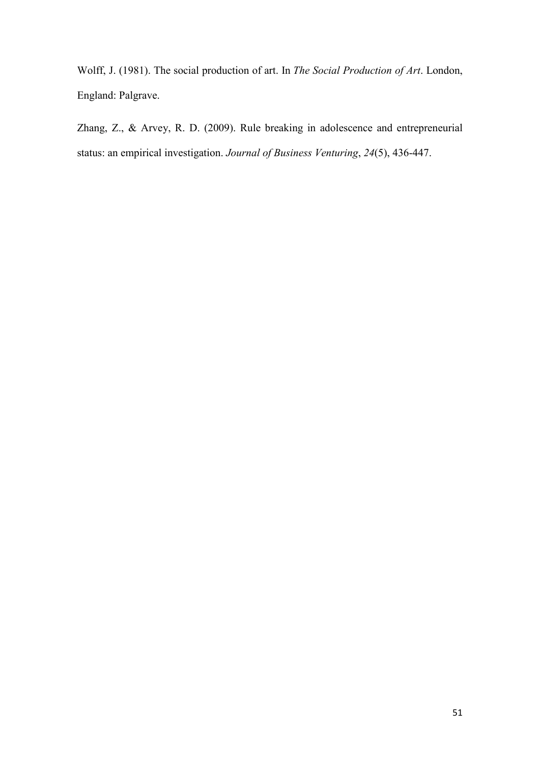Wolff, J. (1981). The social production of art. In *The Social Production of Art*. London, England: Palgrave.

Zhang, Z., & Arvey, R. D. (2009). Rule breaking in adolescence and entrepreneurial status: an empirical investigation. *Journal of Business Venturing*, *24*(5), 436-447.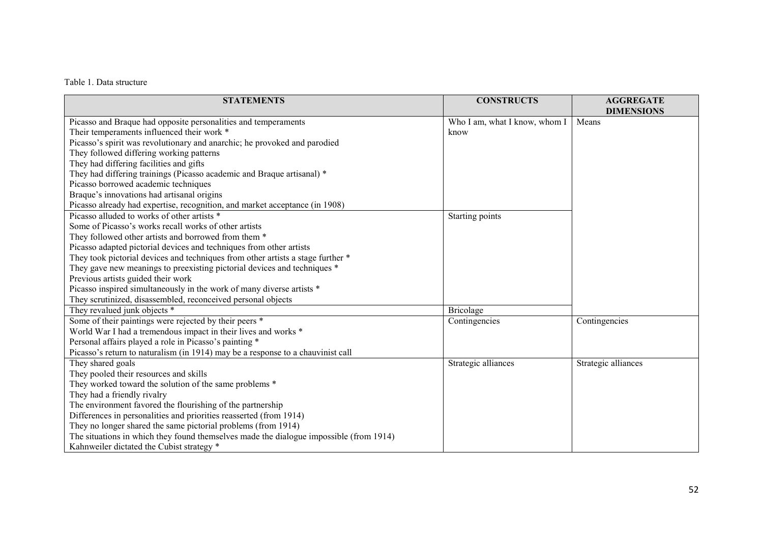## Table 1. Data structure

| <b>STATEMENTS</b>                                                                      | <b>CONSTRUCTS</b>             | <b>AGGREGATE</b><br><b>DIMENSIONS</b> |
|----------------------------------------------------------------------------------------|-------------------------------|---------------------------------------|
| Picasso and Braque had opposite personalities and temperaments                         | Who I am, what I know, whom I | Means                                 |
| Their temperaments influenced their work *                                             | know                          |                                       |
| Picasso's spirit was revolutionary and anarchic; he provoked and parodied              |                               |                                       |
| They followed differing working patterns                                               |                               |                                       |
| They had differing facilities and gifts                                                |                               |                                       |
| They had differing trainings (Picasso academic and Braque artisanal) *                 |                               |                                       |
| Picasso borrowed academic techniques                                                   |                               |                                       |
| Braque's innovations had artisanal origins                                             |                               |                                       |
| Picasso already had expertise, recognition, and market acceptance (in 1908)            |                               |                                       |
| Picasso alluded to works of other artists *                                            | Starting points               |                                       |
| Some of Picasso's works recall works of other artists                                  |                               |                                       |
| They followed other artists and borrowed from them *                                   |                               |                                       |
| Picasso adapted pictorial devices and techniques from other artists                    |                               |                                       |
| They took pictorial devices and techniques from other artists a stage further *        |                               |                                       |
| They gave new meanings to preexisting pictorial devices and techniques *               |                               |                                       |
| Previous artists guided their work                                                     |                               |                                       |
| Picasso inspired simultaneously in the work of many diverse artists *                  |                               |                                       |
| They scrutinized, disassembled, reconceived personal objects                           |                               |                                       |
| They revalued junk objects *                                                           | Bricolage                     |                                       |
| Some of their paintings were rejected by their peers *                                 | Contingencies                 | Contingencies                         |
| World War I had a tremendous impact in their lives and works *                         |                               |                                       |
| Personal affairs played a role in Picasso's painting *                                 |                               |                                       |
| Picasso's return to naturalism (in 1914) may be a response to a chauvinist call        |                               |                                       |
| They shared goals                                                                      | Strategic alliances           | Strategic alliances                   |
| They pooled their resources and skills                                                 |                               |                                       |
| They worked toward the solution of the same problems *                                 |                               |                                       |
| They had a friendly rivalry                                                            |                               |                                       |
| The environment favored the flourishing of the partnership                             |                               |                                       |
| Differences in personalities and priorities reasserted (from 1914)                     |                               |                                       |
| They no longer shared the same pictorial problems (from 1914)                          |                               |                                       |
| The situations in which they found themselves made the dialogue impossible (from 1914) |                               |                                       |
| Kahnweiler dictated the Cubist strategy *                                              |                               |                                       |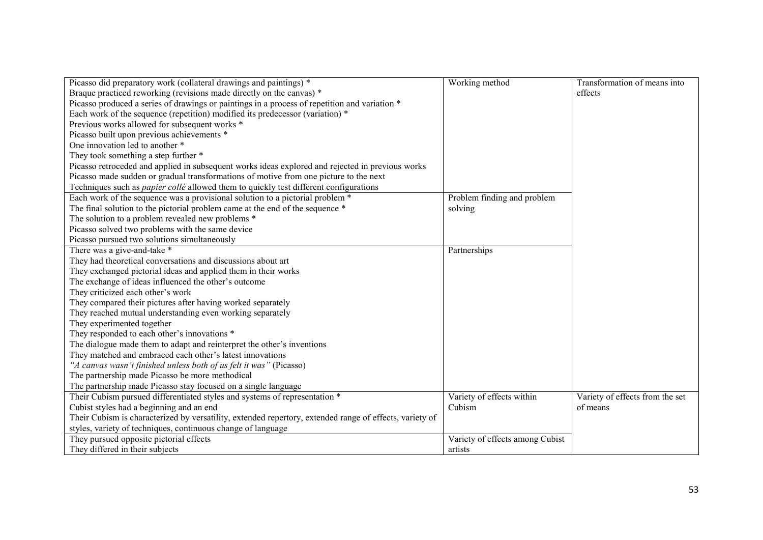| Picasso did preparatory work (collateral drawings and paintings) *                                      | Working method                  | Transformation of means into    |
|---------------------------------------------------------------------------------------------------------|---------------------------------|---------------------------------|
| Braque practiced reworking (revisions made directly on the canvas) *                                    |                                 | effects                         |
| Picasso produced a series of drawings or paintings in a process of repetition and variation *           |                                 |                                 |
| Each work of the sequence (repetition) modified its predecessor (variation) *                           |                                 |                                 |
| Previous works allowed for subsequent works *                                                           |                                 |                                 |
| Picasso built upon previous achievements *                                                              |                                 |                                 |
| One innovation led to another *                                                                         |                                 |                                 |
| They took something a step further *                                                                    |                                 |                                 |
| Picasso retroceded and applied in subsequent works ideas explored and rejected in previous works        |                                 |                                 |
| Picasso made sudden or gradual transformations of motive from one picture to the next                   |                                 |                                 |
| Techniques such as <i>papier collé</i> allowed them to quickly test different configurations            |                                 |                                 |
| Each work of the sequence was a provisional solution to a pictorial problem *                           | Problem finding and problem     |                                 |
| The final solution to the pictorial problem came at the end of the sequence *                           | solving                         |                                 |
| The solution to a problem revealed new problems *                                                       |                                 |                                 |
| Picasso solved two problems with the same device                                                        |                                 |                                 |
| Picasso pursued two solutions simultaneously                                                            |                                 |                                 |
| There was a give-and-take *                                                                             | Partnerships                    |                                 |
| They had theoretical conversations and discussions about art                                            |                                 |                                 |
| They exchanged pictorial ideas and applied them in their works                                          |                                 |                                 |
| The exchange of ideas influenced the other's outcome                                                    |                                 |                                 |
| They criticized each other's work                                                                       |                                 |                                 |
| They compared their pictures after having worked separately                                             |                                 |                                 |
| They reached mutual understanding even working separately                                               |                                 |                                 |
| They experimented together                                                                              |                                 |                                 |
| They responded to each other's innovations *                                                            |                                 |                                 |
| The dialogue made them to adapt and reinterpret the other's inventions                                  |                                 |                                 |
| They matched and embraced each other's latest innovations                                               |                                 |                                 |
| "A canvas wasn't finished unless both of us felt it was" (Picasso)                                      |                                 |                                 |
| The partnership made Picasso be more methodical                                                         |                                 |                                 |
| The partnership made Picasso stay focused on a single language                                          |                                 |                                 |
| Their Cubism pursued differentiated styles and systems of representation *                              | Variety of effects within       | Variety of effects from the set |
| Cubist styles had a beginning and an end                                                                | Cubism                          | of means                        |
| Their Cubism is characterized by versatility, extended repertory, extended range of effects, variety of |                                 |                                 |
| styles, variety of techniques, continuous change of language                                            |                                 |                                 |
| They pursued opposite pictorial effects                                                                 | Variety of effects among Cubist |                                 |
| They differed in their subjects                                                                         | artists                         |                                 |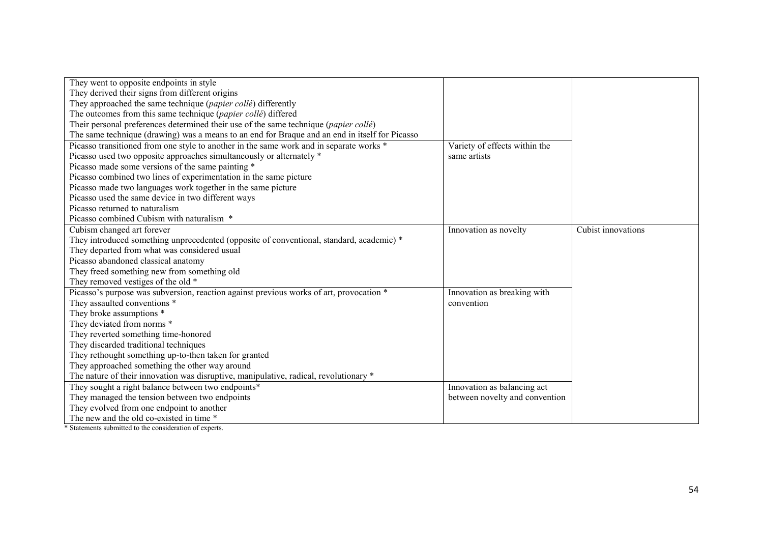| They went to opposite endpoints in style                                                       |                                |                    |
|------------------------------------------------------------------------------------------------|--------------------------------|--------------------|
| They derived their signs from different origins                                                |                                |                    |
| They approached the same technique (papier collé) differently                                  |                                |                    |
| The outcomes from this same technique (papier collé) differed                                  |                                |                    |
| Their personal preferences determined their use of the same technique (papier collé)           |                                |                    |
| The same technique (drawing) was a means to an end for Braque and an end in itself for Picasso |                                |                    |
| Picasso transitioned from one style to another in the same work and in separate works *        | Variety of effects within the  |                    |
| Picasso used two opposite approaches simultaneously or alternately *                           | same artists                   |                    |
| Picasso made some versions of the same painting *                                              |                                |                    |
| Picasso combined two lines of experimentation in the same picture                              |                                |                    |
| Picasso made two languages work together in the same picture                                   |                                |                    |
| Picasso used the same device in two different ways                                             |                                |                    |
| Picasso returned to naturalism                                                                 |                                |                    |
| Picasso combined Cubism with naturalism *                                                      |                                |                    |
| Cubism changed art forever                                                                     | Innovation as novelty          | Cubist innovations |
| They introduced something unprecedented (opposite of conventional, standard, academic) *       |                                |                    |
| They departed from what was considered usual                                                   |                                |                    |
| Picasso abandoned classical anatomy                                                            |                                |                    |
| They freed something new from something old                                                    |                                |                    |
| They removed vestiges of the old *                                                             |                                |                    |
| Picasso's purpose was subversion, reaction against previous works of art, provocation *        | Innovation as breaking with    |                    |
| They assaulted conventions *                                                                   | convention                     |                    |
| They broke assumptions *                                                                       |                                |                    |
| They deviated from norms *                                                                     |                                |                    |
| They reverted something time-honored                                                           |                                |                    |
| They discarded traditional techniques                                                          |                                |                    |
| They rethought something up-to-then taken for granted                                          |                                |                    |
| They approached something the other way around                                                 |                                |                    |
| The nature of their innovation was disruptive, manipulative, radical, revolutionary *          |                                |                    |
| They sought a right balance between two endpoints*                                             | Innovation as balancing act    |                    |
| They managed the tension between two endpoints                                                 | between novelty and convention |                    |
| They evolved from one endpoint to another                                                      |                                |                    |
| The new and the old co-existed in time *                                                       |                                |                    |
|                                                                                                |                                |                    |

\* Statements submitted to the consideration of experts.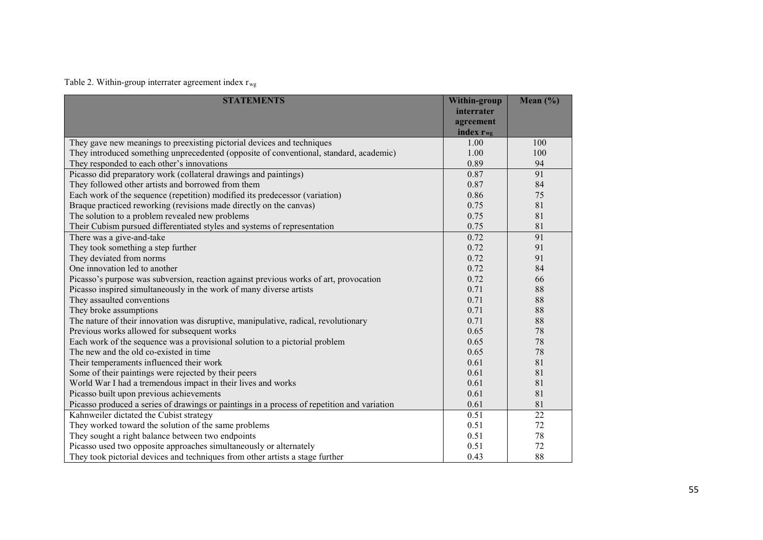Table 2. Within-group interrater agreement index  $r_{wg}$ 

| <b>STATEMENTS</b>                                                                           | Within-group          | Mean $(\%)$ |
|---------------------------------------------------------------------------------------------|-----------------------|-------------|
|                                                                                             | interrater            |             |
|                                                                                             | agreement             |             |
|                                                                                             | index r <sub>wg</sub> |             |
| They gave new meanings to preexisting pictorial devices and techniques                      | 1.00                  | 100         |
| They introduced something unprecedented (opposite of conventional, standard, academic)      | 1.00                  | 100         |
| They responded to each other's innovations                                                  | 0.89                  | 94          |
| Picasso did preparatory work (collateral drawings and paintings)                            | 0.87                  | 91          |
| They followed other artists and borrowed from them                                          | 0.87                  | 84          |
| Each work of the sequence (repetition) modified its predecessor (variation)                 | 0.86                  | 75          |
| Braque practiced reworking (revisions made directly on the canvas)                          | 0.75                  | 81          |
| The solution to a problem revealed new problems                                             | 0.75                  | 81          |
| Their Cubism pursued differentiated styles and systems of representation                    | 0.75                  | 81          |
| There was a give-and-take                                                                   | 0.72                  | 91          |
| They took something a step further                                                          | 0.72                  | 91          |
| They deviated from norms                                                                    | 0.72                  | 91          |
| One innovation led to another                                                               | 0.72                  | 84          |
| Picasso's purpose was subversion, reaction against previous works of art, provocation       | 0.72                  | 66          |
| Picasso inspired simultaneously in the work of many diverse artists                         | 0.71                  | 88          |
| They assaulted conventions                                                                  | 0.71                  | 88          |
| They broke assumptions                                                                      | 0.71                  | 88          |
| The nature of their innovation was disruptive, manipulative, radical, revolutionary         | 0.71                  | 88          |
| Previous works allowed for subsequent works                                                 | 0.65                  | 78          |
| Each work of the sequence was a provisional solution to a pictorial problem                 | 0.65                  | 78          |
| The new and the old co-existed in time                                                      | 0.65                  | 78          |
| Their temperaments influenced their work                                                    | 0.61                  | 81          |
| Some of their paintings were rejected by their peers                                        | 0.61                  | 81          |
| World War I had a tremendous impact in their lives and works                                | 0.61                  | 81          |
| Picasso built upon previous achievements                                                    | 0.61                  | 81          |
| Picasso produced a series of drawings or paintings in a process of repetition and variation | 0.61                  | 81          |
| Kahnweiler dictated the Cubist strategy                                                     | 0.51                  | 22          |
| They worked toward the solution of the same problems                                        | 0.51                  | 72          |
| They sought a right balance between two endpoints                                           | 0.51                  | 78          |
| Picasso used two opposite approaches simultaneously or alternately                          | 0.51                  | 72          |
| They took pictorial devices and techniques from other artists a stage further               | 0.43                  | 88          |